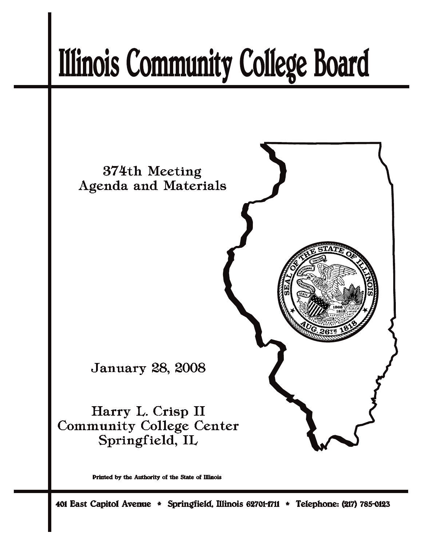# **Illinois Community College Board**



Printed by the Authority of the State of Illinois

401 East Capitol Avenue \* Springfield, Illinois 62701-1711 \* Telephone: (217) 785-0123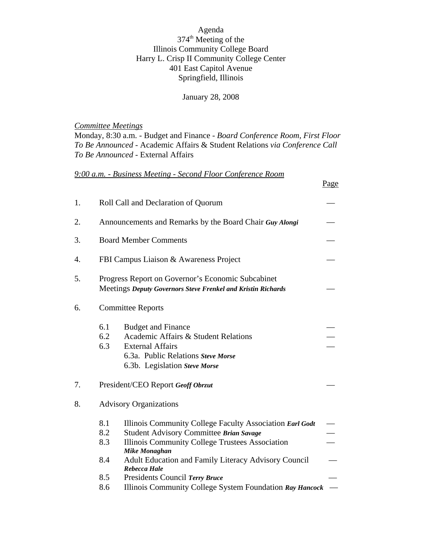Agenda 374<sup>th</sup> Meeting of the Illinois Community College Board Harry L. Crisp II Community College Center 401 East Capitol Avenue Springfield, Illinois

January 28, 2008

*Committee Meetings*

Monday, 8:30 a.m. - Budget and Finance - *Board Conference Room, First Floor To Be Announced* - Academic Affairs & Student Relations *via Conference Call To Be Announced* - External Affairs

Page

### *9:00 a.m. - Business Meeting - Second Floor Conference Room*

| 1. | Roll Call and Declaration of Quorum                                                                                      |                                                                                                                                                                                                                                                                                                        |  |  |  |
|----|--------------------------------------------------------------------------------------------------------------------------|--------------------------------------------------------------------------------------------------------------------------------------------------------------------------------------------------------------------------------------------------------------------------------------------------------|--|--|--|
| 2. |                                                                                                                          | Announcements and Remarks by the Board Chair Guy Alongi                                                                                                                                                                                                                                                |  |  |  |
| 3. |                                                                                                                          | <b>Board Member Comments</b>                                                                                                                                                                                                                                                                           |  |  |  |
| 4. | FBI Campus Liaison & Awareness Project                                                                                   |                                                                                                                                                                                                                                                                                                        |  |  |  |
| 5. | Progress Report on Governor's Economic Subcabinet<br><b>Meetings Deputy Governors Steve Frenkel and Kristin Richards</b> |                                                                                                                                                                                                                                                                                                        |  |  |  |
| 6. | <b>Committee Reports</b>                                                                                                 |                                                                                                                                                                                                                                                                                                        |  |  |  |
|    | 6.1<br>6.2<br>6.3                                                                                                        | <b>Budget and Finance</b><br>Academic Affairs & Student Relations<br><b>External Affairs</b><br>6.3a. Public Relations Steve Morse<br>6.3b. Legislation Steve Morse                                                                                                                                    |  |  |  |
| 7. |                                                                                                                          | President/CEO Report Geoff Obrzut                                                                                                                                                                                                                                                                      |  |  |  |
| 8. |                                                                                                                          | <b>Advisory Organizations</b>                                                                                                                                                                                                                                                                          |  |  |  |
|    | 8.1<br>8.2<br>8.3<br>8.4<br>8.5                                                                                          | Illinois Community College Faculty Association Earl Godt<br>Student Advisory Committee Brian Savage<br>Illinois Community College Trustees Association<br><b>Mike Monaghan</b><br><b>Adult Education and Family Literacy Advisory Council</b><br><b>Rebecca Hale</b><br>Presidents Council Terry Bruce |  |  |  |
|    | 8.6                                                                                                                      | Illinois Community College System Foundation Ray Hancock                                                                                                                                                                                                                                               |  |  |  |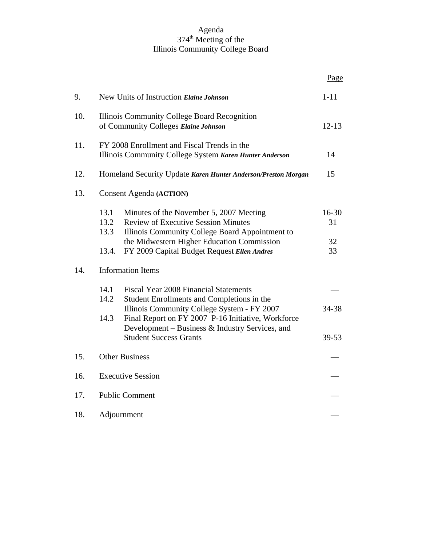#### Agenda 374<sup>th</sup> Meeting of the Illinois Community College Board

|     |                                                                                                        |                                                                                                                                                                                                 | Page        |  |  |  |  |
|-----|--------------------------------------------------------------------------------------------------------|-------------------------------------------------------------------------------------------------------------------------------------------------------------------------------------------------|-------------|--|--|--|--|
| 9.  | New Units of Instruction Elaine Johnson                                                                |                                                                                                                                                                                                 |             |  |  |  |  |
| 10. | Illinois Community College Board Recognition<br>of Community Colleges Elaine Johnson                   |                                                                                                                                                                                                 |             |  |  |  |  |
| 11. | FY 2008 Enrollment and Fiscal Trends in the<br>Illinois Community College System Karen Hunter Anderson |                                                                                                                                                                                                 |             |  |  |  |  |
| 12. | Homeland Security Update Karen Hunter Anderson/Preston Morgan                                          |                                                                                                                                                                                                 |             |  |  |  |  |
| 13. | <b>Consent Agenda (ACTION)</b>                                                                         |                                                                                                                                                                                                 |             |  |  |  |  |
|     | 13.1<br>13.2<br>13.3                                                                                   | Minutes of the November 5, 2007 Meeting<br><b>Review of Executive Session Minutes</b><br>Illinois Community College Board Appointment to                                                        | 16-30<br>31 |  |  |  |  |
|     | 13.4.                                                                                                  | the Midwestern Higher Education Commission<br>FY 2009 Capital Budget Request Ellen Andres                                                                                                       | 32<br>33    |  |  |  |  |
| 14. |                                                                                                        | <b>Information Items</b>                                                                                                                                                                        |             |  |  |  |  |
|     | 14.1<br>14.2<br>14.3                                                                                   | <b>Fiscal Year 2008 Financial Statements</b><br>Student Enrollments and Completions in the<br>Illinois Community College System - FY 2007<br>Final Report on FY 2007 P-16 Initiative, Workforce | 34-38       |  |  |  |  |
|     |                                                                                                        | Development - Business & Industry Services, and<br><b>Student Success Grants</b>                                                                                                                | $39 - 53$   |  |  |  |  |
| 15. | <b>Other Business</b>                                                                                  |                                                                                                                                                                                                 |             |  |  |  |  |
| 16. | <b>Executive Session</b>                                                                               |                                                                                                                                                                                                 |             |  |  |  |  |
| 17. | <b>Public Comment</b>                                                                                  |                                                                                                                                                                                                 |             |  |  |  |  |
| 18. | Adjournment                                                                                            |                                                                                                                                                                                                 |             |  |  |  |  |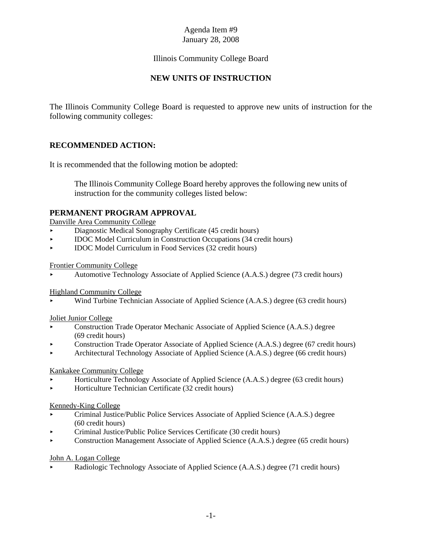# Illinois Community College Board

# **NEW UNITS OF INSTRUCTION**

The Illinois Community College Board is requested to approve new units of instruction for the following community colleges:

# **RECOMMENDED ACTION:**

It is recommended that the following motion be adopted:

The Illinois Community College Board hereby approves the following new units of instruction for the community colleges listed below:

# **PERMANENT PROGRAM APPROVAL**

Danville Area Community College

- < Diagnostic Medical Sonography Certificate (45 credit hours)
- < IDOC Model Curriculum in Construction Occupations (34 credit hours)
- < IDOC Model Curriculum in Food Services (32 credit hours)

Frontier Community College

< Automotive Technology Associate of Applied Science (A.A.S.) degree (73 credit hours)

#### Highland Community College

< Wind Turbine Technician Associate of Applied Science (A.A.S.) degree (63 credit hours)

#### Joliet Junior College

- Construction Trade Operator Mechanic Associate of Applied Science (A.A.S.) degree (69 credit hours)
- < Construction Trade Operator Associate of Applied Science (A.A.S.) degree (67 credit hours)
- < Architectural Technology Associate of Applied Science (A.A.S.) degree (66 credit hours)

#### Kankakee Community College

- < Horticulture Technology Associate of Applied Science (A.A.S.) degree (63 credit hours)
- < Horticulture Technician Certificate (32 credit hours)

#### Kennedy-King College

- < Criminal Justice/Public Police Services Associate of Applied Science (A.A.S.) degree (60 credit hours)
- < Criminal Justice/Public Police Services Certificate (30 credit hours)
- **Example 3** Construction Management Associate of Applied Science (A.A.S.) degree (65 credit hours)

#### John A. Logan College

< Radiologic Technology Associate of Applied Science (A.A.S.) degree (71 credit hours)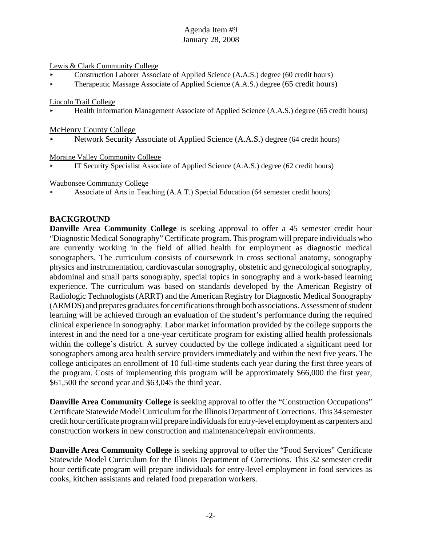#### Lewis & Clark Community College

- < Construction Laborer Associate of Applied Science (A.A.S.) degree (60 credit hours)
- **Example 1** Therapeutic Massage Associate of Applied Science (A.A.S.) degree (65 credit hours)

#### Lincoln Trail College

< Health Information Management Associate of Applied Science (A.A.S.) degree (65 credit hours)

#### McHenry County College

Network Security Associate of Applied Science (A.A.S.) degree (64 credit hours)

#### Moraine Valley Community College

IT Security Specialist Associate of Applied Science (A.A.S.) degree (62 credit hours)

#### Waubonsee Community College

< Associate of Arts in Teaching (A.A.T.) Special Education (64 semester credit hours)

#### **BACKGROUND**

**Danville Area Community College** is seeking approval to offer a 45 semester credit hour "Diagnostic Medical Sonography" Certificate program. This program will prepare individuals who are currently working in the field of allied health for employment as diagnostic medical sonographers. The curriculum consists of coursework in cross sectional anatomy, sonography physics and instrumentation, cardiovascular sonography, obstetric and gynecological sonography, abdominal and small parts sonography, special topics in sonography and a work-based learning experience. The curriculum was based on standards developed by the American Registry of Radiologic Technologists (ARRT) and the American Registry for Diagnostic Medical Sonography (ARMDS) and prepares graduates for certifications through both associations. Assessment of student learning will be achieved through an evaluation of the student's performance during the required clinical experience in sonography. Labor market information provided by the college supports the interest in and the need for a one-year certificate program for existing allied health professionals within the college's district. A survey conducted by the college indicated a significant need for sonographers among area health service providers immediately and within the next five years. The college anticipates an enrollment of 10 full-time students each year during the first three years of the program. Costs of implementing this program will be approximately \$66,000 the first year, \$61,500 the second year and \$63,045 the third year.

**Danville Area Community College** is seeking approval to offer the "Construction Occupations" Certificate Statewide Model Curriculum for the Illinois Department of Corrections. This 34 semester credit hour certificate program will prepare individuals for entry-level employment as carpenters and construction workers in new construction and maintenance/repair environments.

**Danville Area Community College** is seeking approval to offer the "Food Services" Certificate Statewide Model Curriculum for the Illinois Department of Corrections. This 32 semester credit hour certificate program will prepare individuals for entry-level employment in food services as cooks, kitchen assistants and related food preparation workers.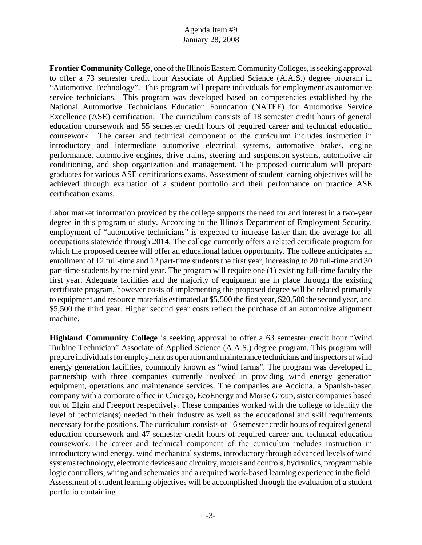**Frontier Community College**, one of the Illinois Eastern Community Colleges, is seeking approval to offer a 73 semester credit hour Associate of Applied Science (A.A.S.) degree program in "Automotive Technology". This program will prepare individuals for employment as automotive service technicians. This program was developed based on competencies established by the National Automotive Technicians Education Foundation (NATEF) for Automotive Service Excellence (ASE) certification. The curriculum consists of 18 semester credit hours of general education coursework and 55 semester credit hours of required career and technical education coursework. The career and technical component of the curriculum includes instruction in introductory and intermediate automotive electrical systems, automotive brakes, engine performance, automotive engines, drive trains, steering and suspension systems, automotive air conditioning, and shop organization and management. The proposed curriculum will prepare graduates for various ASE certifications exams. Assessment of student learning objectives will be achieved through evaluation of a student portfolio and their performance on practice ASE certification exams.

Labor market information provided by the college supports the need for and interest in a two-year degree in this program of study. According to the Illinois Department of Employment Security, employment of "automotive technicians" is expected to increase faster than the average for all occupations statewide through 2014. The college currently offers a related certificate program for which the proposed degree will offer an educational ladder opportunity. The college anticipates an enrollment of 12 full-time and 12 part-time students the first year, increasing to 20 full-time and 30 part-time students by the third year. The program will require one (1) existing full-time faculty the first year. Adequate facilities and the majority of equipment are in place through the existing certificate program, however costs of implementing the proposed degree will be related primarily to equipment and resource materials estimated at \$5,500 the first year, \$20,500 the second year, and \$5,500 the third year. Higher second year costs reflect the purchase of an automotive alignment machine.

**Highland Community College** is seeking approval to offer a 63 semester credit hour "Wind Turbine Technician" Associate of Applied Science (A.A.S.) degree program. This program will prepare individuals for employment as operation and maintenance technicians and inspectors at wind energy generation facilities, commonly known as "wind farms". The program was developed in partnership with three companies currently involved in providing wind energy generation equipment, operations and maintenance services. The companies are Acciona, a Spanish-based company with a corporate office in Chicago, EcoEnergy and Morse Group, sister companies based out of Elgin and Freeport respectively. These companies worked with the college to identify the level of technician(s) needed in their industry as well as the educational and skill requirements necessary for the positions. The curriculum consists of 16 semester credit hours of required general education coursework and 47 semester credit hours of required career and technical education coursework. The career and technical component of the curriculum includes instruction in introductory wind energy, wind mechanical systems, introductory through advanced levels of wind systems technology, electronic devices and circuitry, motors and controls, hydraulics, programmable logic controllers, wiring and schematics and a required work-based learning experience in the field. Assessment of student learning objectives will be accomplished through the evaluation of a student portfolio containing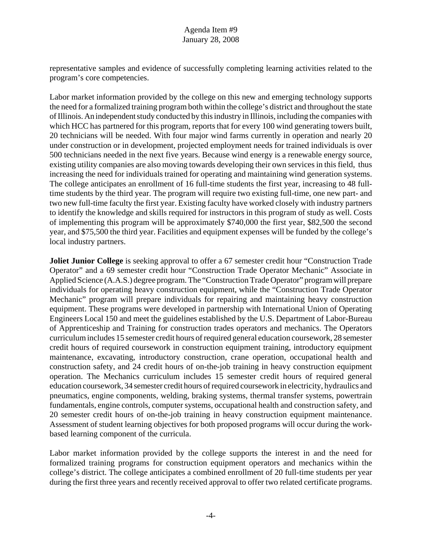representative samples and evidence of successfully completing learning activities related to the program's core competencies.

Labor market information provided by the college on this new and emerging technology supports the need for a formalized training program both within the college's district and throughout the state of Illinois. An independent study conducted by this industry in Illinois, including the companies with which HCC has partnered for this program, reports that for every 100 wind generating towers built, 20 technicians will be needed. With four major wind farms currently in operation and nearly 20 under construction or in development, projected employment needs for trained individuals is over 500 technicians needed in the next five years. Because wind energy is a renewable energy source, existing utility companies are also moving towards developing their own services in this field, thus increasing the need for individuals trained for operating and maintaining wind generation systems. The college anticipates an enrollment of 16 full-time students the first year, increasing to 48 fulltime students by the third year. The program will require two existing full-time, one new part- and two new full-time faculty the first year. Existing faculty have worked closely with industry partners to identify the knowledge and skills required for instructors in this program of study as well. Costs of implementing this program will be approximately \$740,000 the first year, \$82,500 the second year, and \$75,500 the third year. Facilities and equipment expenses will be funded by the college's local industry partners.

**Joliet Junior College** is seeking approval to offer a 67 semester credit hour "Construction Trade" Operator" and a 69 semester credit hour "Construction Trade Operator Mechanic" Associate in Applied Science (A.A.S.) degree program. The "Construction Trade Operator" program will prepare individuals for operating heavy construction equipment, while the "Construction Trade Operator Mechanic" program will prepare individuals for repairing and maintaining heavy construction equipment. These programs were developed in partnership with International Union of Operating Engineers Local 150 and meet the guidelines established by the U.S. Department of Labor-Bureau of Apprenticeship and Training for construction trades operators and mechanics. The Operators curriculum includes 15 semester credit hours of required general education coursework, 28 semester credit hours of required coursework in construction equipment training, introductory equipment maintenance, excavating, introductory construction, crane operation, occupational health and construction safety, and 24 credit hours of on-the-job training in heavy construction equipment operation. The Mechanics curriculum includes 15 semester credit hours of required general education coursework, 34 semester credit hours of required coursework in electricity, hydraulics and pneumatics, engine components, welding, braking systems, thermal transfer systems, powertrain fundamentals, engine controls, computer systems, occupational health and construction safety, and 20 semester credit hours of on-the-job training in heavy construction equipment maintenance. Assessment of student learning objectives for both proposed programs will occur during the workbased learning component of the curricula.

Labor market information provided by the college supports the interest in and the need for formalized training programs for construction equipment operators and mechanics within the college's district. The college anticipates a combined enrollment of 20 full-time students per year during the first three years and recently received approval to offer two related certificate programs.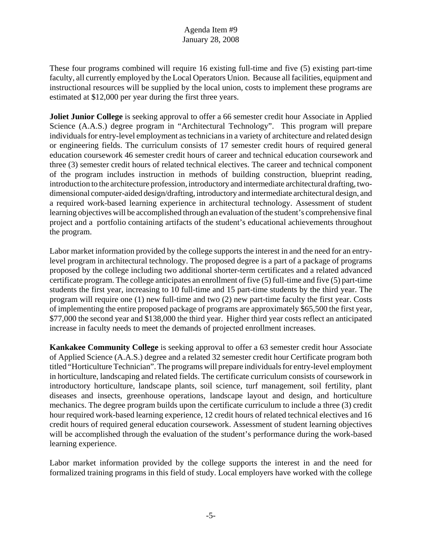These four programs combined will require 16 existing full-time and five (5) existing part-time faculty, all currently employed by the Local Operators Union. Because all facilities, equipment and instructional resources will be supplied by the local union, costs to implement these programs are estimated at \$12,000 per year during the first three years.

**Joliet Junior College** is seeking approval to offer a 66 semester credit hour Associate in Applied Science (A.A.S.) degree program in "Architectural Technology". This program will prepare individuals for entry-level employment as technicians in a variety of architecture and related design or engineering fields. The curriculum consists of 17 semester credit hours of required general education coursework 46 semester credit hours of career and technical education coursework and three (3) semester credit hours of related technical electives. The career and technical component of the program includes instruction in methods of building construction, blueprint reading, introduction to the architecture profession, introductory and intermediate architectural drafting, twodimensional computer-aided design/drafting, introductory and intermediate architectural design, and a required work-based learning experience in architectural technology. Assessment of student learning objectives will be accomplished through an evaluation of the student's comprehensive final project and a portfolio containing artifacts of the student's educational achievements throughout the program.

Labor market information provided by the college supports the interest in and the need for an entrylevel program in architectural technology. The proposed degree is a part of a package of programs proposed by the college including two additional shorter-term certificates and a related advanced certificate program. The college anticipates an enrollment of five (5) full-time and five (5) part-time students the first year, increasing to 10 full-time and 15 part-time students by the third year. The program will require one (1) new full-time and two (2) new part-time faculty the first year. Costs of implementing the entire proposed package of programs are approximately \$65,500 the first year, \$77,000 the second year and \$138,000 the third year. Higher third year costs reflect an anticipated increase in faculty needs to meet the demands of projected enrollment increases.

**Kankakee Community College** is seeking approval to offer a 63 semester credit hour Associate of Applied Science (A.A.S.) degree and a related 32 semester credit hour Certificate program both titled "Horticulture Technician". The programs will prepare individuals for entry-level employment in horticulture, landscaping and related fields. The certificate curriculum consists of coursework in introductory horticulture, landscape plants, soil science, turf management, soil fertility, plant diseases and insects, greenhouse operations, landscape layout and design, and horticulture mechanics. The degree program builds upon the certificate curriculum to include a three (3) credit hour required work-based learning experience, 12 credit hours of related technical electives and 16 credit hours of required general education coursework. Assessment of student learning objectives will be accomplished through the evaluation of the student's performance during the work-based learning experience.

Labor market information provided by the college supports the interest in and the need for formalized training programs in this field of study. Local employers have worked with the college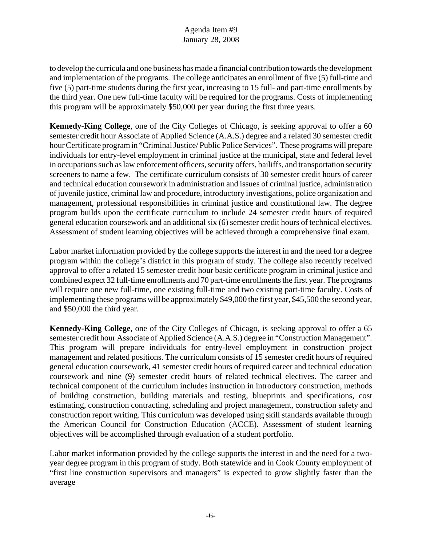to develop the curricula and one business has made a financial contribution towards the development and implementation of the programs. The college anticipates an enrollment of five (5) full-time and five (5) part-time students during the first year, increasing to 15 full- and part-time enrollments by the third year. One new full-time faculty will be required for the programs. Costs of implementing this program will be approximately \$50,000 per year during the first three years.

**Kennedy-King College**, one of the City Colleges of Chicago, is seeking approval to offer a 60 semester credit hour Associate of Applied Science (A.A.S.) degree and a related 30 semester credit hour Certificate program in "Criminal Justice/ Public Police Services". These programs will prepare individuals for entry-level employment in criminal justice at the municipal, state and federal level in occupations such as law enforcement officers, security offers, bailiffs, and transportation security screeners to name a few. The certificate curriculum consists of 30 semester credit hours of career and technical education coursework in administration and issues of criminal justice, administration of juvenile justice, criminal law and procedure, introductory investigations, police organization and management, professional responsibilities in criminal justice and constitutional law. The degree program builds upon the certificate curriculum to include 24 semester credit hours of required general education coursework and an additional six (6) semester credit hours of technical electives. Assessment of student learning objectives will be achieved through a comprehensive final exam.

Labor market information provided by the college supports the interest in and the need for a degree program within the college's district in this program of study. The college also recently received approval to offer a related 15 semester credit hour basic certificate program in criminal justice and combined expect 32 full-time enrollments and 70 part-time enrollments the first year. The programs will require one new full-time, one existing full-time and two existing part-time faculty. Costs of implementing these programs will be approximately \$49,000 the first year, \$45,500 the second year, and \$50,000 the third year.

**Kennedy-King College**, one of the City Colleges of Chicago, is seeking approval to offer a 65 semester credit hour Associate of Applied Science (A.A.S.) degree in "Construction Management". This program will prepare individuals for entry-level employment in construction project management and related positions. The curriculum consists of 15 semester credit hours of required general education coursework, 41 semester credit hours of required career and technical education coursework and nine (9) semester credit hours of related technical electives. The career and technical component of the curriculum includes instruction in introductory construction, methods of building construction, building materials and testing, blueprints and specifications, cost estimating, construction contracting, scheduling and project management, construction safety and construction report writing. This curriculum was developed using skill standards available through the American Council for Construction Education (ACCE). Assessment of student learning objectives will be accomplished through evaluation of a student portfolio.

Labor market information provided by the college supports the interest in and the need for a twoyear degree program in this program of study. Both statewide and in Cook County employment of "first line construction supervisors and managers" is expected to grow slightly faster than the average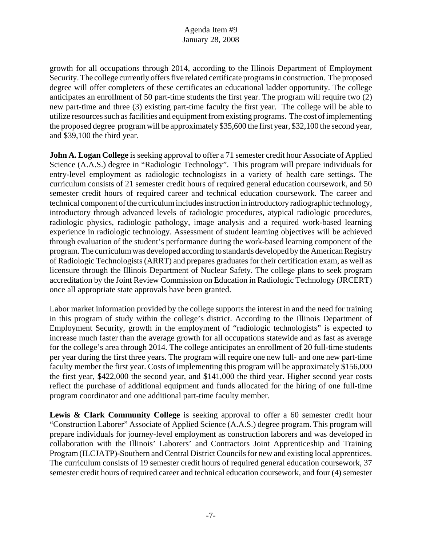growth for all occupations through 2014, according to the Illinois Department of Employment Security. The college currently offers five related certificate programs in construction. The proposed degree will offer completers of these certificates an educational ladder opportunity. The college anticipates an enrollment of 50 part-time students the first year. The program will require two (2) new part-time and three (3) existing part-time faculty the first year. The college will be able to utilize resources such as facilities and equipment from existing programs. The cost of implementing the proposed degree program will be approximately \$35,600 the first year, \$32,100 the second year, and \$39,100 the third year.

**John A. Logan College** is seeking approval to offer a 71 semester credit hour Associate of Applied Science (A.A.S.) degree in "Radiologic Technology". This program will prepare individuals for entry-level employment as radiologic technologists in a variety of health care settings. The curriculum consists of 21 semester credit hours of required general education coursework, and 50 semester credit hours of required career and technical education coursework. The career and technical component of the curriculum includes instruction in introductory radiographic technology, introductory through advanced levels of radiologic procedures, atypical radiologic procedures, radiologic physics, radiologic pathology, image analysis and a required work-based learning experience in radiologic technology. Assessment of student learning objectives will be achieved through evaluation of the student's performance during the work-based learning component of the program. The curriculum was developed according to standards developed by the American Registry of Radiologic Technologists (ARRT) and prepares graduates for their certification exam, as well as licensure through the Illinois Department of Nuclear Safety. The college plans to seek program accreditation by the Joint Review Commission on Education in Radiologic Technology (JRCERT) once all appropriate state approvals have been granted.

Labor market information provided by the college supports the interest in and the need for training in this program of study within the college's district. According to the Illinois Department of Employment Security, growth in the employment of "radiologic technologists" is expected to increase much faster than the average growth for all occupations statewide and as fast as average for the college's area through 2014. The college anticipates an enrollment of 20 full-time students per year during the first three years. The program will require one new full- and one new part-time faculty member the first year. Costs of implementing this program will be approximately \$156,000 the first year, \$422,000 the second year, and \$141,000 the third year. Higher second year costs reflect the purchase of additional equipment and funds allocated for the hiring of one full-time program coordinator and one additional part-time faculty member.

Lewis & Clark Community College is seeking approval to offer a 60 semester credit hour "Construction Laborer" Associate of Applied Science (A.A.S.) degree program. This program will prepare individuals for journey-level employment as construction laborers and was developed in collaboration with the Illinois' Laborers' and Contractors Joint Apprenticeship and Training Program (ILCJATP)-Southern and Central District Councils for new and existing local apprentices. The curriculum consists of 19 semester credit hours of required general education coursework, 37 semester credit hours of required career and technical education coursework, and four (4) semester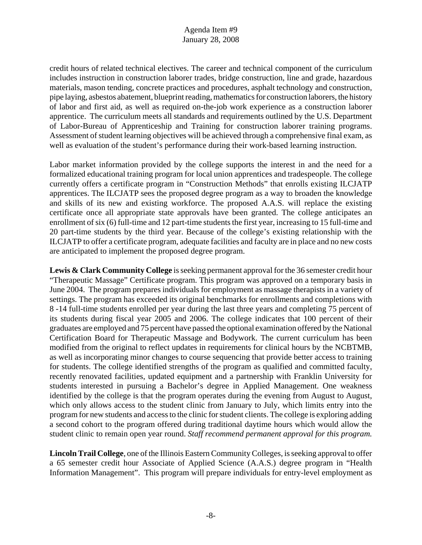credit hours of related technical electives. The career and technical component of the curriculum includes instruction in construction laborer trades, bridge construction, line and grade, hazardous materials, mason tending, concrete practices and procedures, asphalt technology and construction, pipe laying, asbestos abatement, blueprint reading, mathematics for construction laborers, the history of labor and first aid, as well as required on-the-job work experience as a construction laborer apprentice. The curriculum meets all standards and requirements outlined by the U.S. Department of Labor-Bureau of Apprenticeship and Training for construction laborer training programs. Assessment of student learning objectives will be achieved through a comprehensive final exam, as well as evaluation of the student's performance during their work-based learning instruction.

Labor market information provided by the college supports the interest in and the need for a formalized educational training program for local union apprentices and tradespeople. The college currently offers a certificate program in "Construction Methods" that enrolls existing ILCJATP apprentices. The ILCJATP sees the proposed degree program as a way to broaden the knowledge and skills of its new and existing workforce. The proposed A.A.S. will replace the existing certificate once all appropriate state approvals have been granted. The college anticipates an enrollment of six (6) full-time and 12 part-time students the first year, increasing to 15 full-time and 20 part-time students by the third year. Because of the college's existing relationship with the ILCJATP to offer a certificate program, adequate facilities and faculty are in place and no new costs are anticipated to implement the proposed degree program.

**Lewis & Clark Community College** is seeking permanent approval for the 36 semester credit hour "Therapeutic Massage" Certificate program. This program was approved on a temporary basis in June 2004. The program prepares individuals for employment as massage therapists in a variety of settings. The program has exceeded its original benchmarks for enrollments and completions with 8 -14 full-time students enrolled per year during the last three years and completing 75 percent of its students during fiscal year 2005 and 2006. The college indicates that 100 percent of their graduates are employed and 75 percent have passed the optional examination offered by the National Certification Board for Therapeutic Massage and Bodywork. The current curriculum has been modified from the original to reflect updates in requirements for clinical hours by the NCBTMB, as well as incorporating minor changes to course sequencing that provide better access to training for students. The college identified strengths of the program as qualified and committed faculty, recently renovated facilities, updated equipment and a partnership with Franklin University for students interested in pursuing a Bachelor's degree in Applied Management. One weakness identified by the college is that the program operates during the evening from August to August, which only allows access to the student clinic from January to July, which limits entry into the program for new students and access to the clinic for student clients. The college is exploring adding a second cohort to the program offered during traditional daytime hours which would allow the student clinic to remain open year round. *Staff recommend permanent approval for this program.*

**Lincoln Trail College**, one of the Illinois Eastern Community Colleges, is seeking approval to offer a 65 semester credit hour Associate of Applied Science (A.A.S.) degree program in "Health Information Management". This program will prepare individuals for entry-level employment as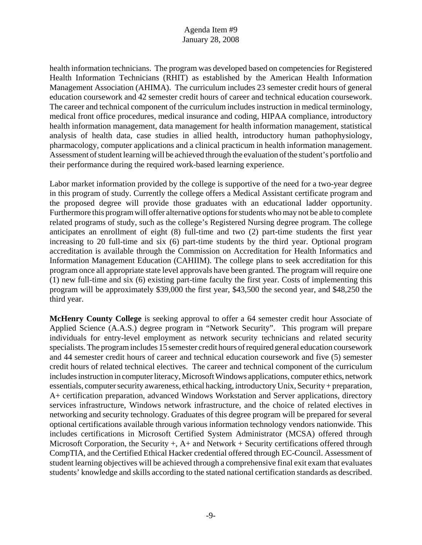health information technicians. The program was developed based on competencies for Registered Health Information Technicians (RHIT) as established by the American Health Information Management Association (AHIMA). The curriculum includes 23 semester credit hours of general education coursework and 42 semester credit hours of career and technical education coursework. The career and technical component of the curriculum includes instruction in medical terminology, medical front office procedures, medical insurance and coding, HIPAA compliance, introductory health information management, data management for health information management, statistical analysis of health data, case studies in allied health, introductory human pathophysiology, pharmacology, computer applications and a clinical practicum in health information management. Assessment of student learning will be achieved through the evaluation of the student's portfolio and their performance during the required work-based learning experience.

Labor market information provided by the college is supportive of the need for a two-year degree in this program of study. Currently the college offers a Medical Assistant certificate program and the proposed degree will provide those graduates with an educational ladder opportunity. Furthermore this program will offer alternative options for students who may not be able to complete related programs of study, such as the college's Registered Nursing degree program. The college anticipates an enrollment of eight (8) full-time and two (2) part-time students the first year increasing to 20 full-time and six (6) part-time students by the third year. Optional program accreditation is available through the Commission on Accreditation for Health Informatics and Information Management Education (CAHIIM). The college plans to seek accreditation for this program once all appropriate state level approvals have been granted. The program will require one (1) new full-time and six (6) existing part-time faculty the first year. Costs of implementing this program will be approximately \$39,000 the first year, \$43,500 the second year, and \$48,250 the third year.

**McHenry County College** is seeking approval to offer a 64 semester credit hour Associate of Applied Science (A.A.S.) degree program in "Network Security". This program will prepare individuals for entry-level employment as network security technicians and related security specialists. The program includes 15 semester credit hours of required general education coursework and 44 semester credit hours of career and technical education coursework and five (5) semester credit hours of related technical electives. The career and technical component of the curriculum includes instruction in computer literacy, Microsoft Windows applications, computer ethics, network essentials, computer security awareness, ethical hacking, introductory Unix, Security + preparation, A+ certification preparation, advanced Windows Workstation and Server applications, directory services infrastructure, Windows network infrastructure, and the choice of related electives in networking and security technology. Graduates of this degree program will be prepared for several optional certifications available through various information technology vendors nationwide. This includes certifications in Microsoft Certified System Administrator (MCSA) offered through Microsoft Corporation, the Security  $+, A+$  and Network  $+$  Security certifications offered through CompTIA, and the Certified Ethical Hacker credential offered through EC-Council. Assessment of student learning objectives will be achieved through a comprehensive final exit exam that evaluates students' knowledge and skills according to the stated national certification standards as described.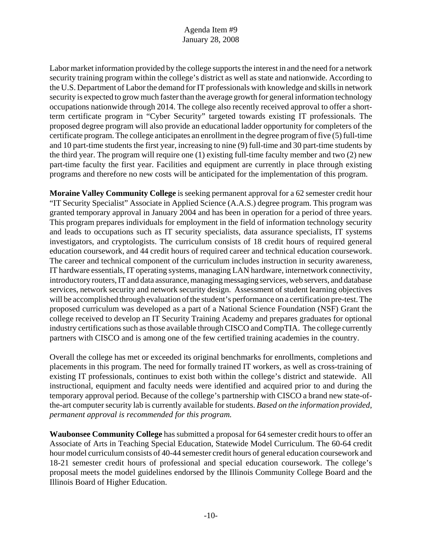Labor market information provided by the college supports the interest in and the need for a network security training program within the college's district as well as state and nationwide. According to the U.S. Department of Labor the demand for IT professionals with knowledge and skills in network security is expected to grow much faster than the average growth for general information technology occupations nationwide through 2014. The college also recently received approval to offer a shortterm certificate program in "Cyber Security" targeted towards existing IT professionals. The proposed degree program will also provide an educational ladder opportunity for completers of the certificate program. The college anticipates an enrollment in the degree program of five (5) full-time and 10 part-time students the first year, increasing to nine (9) full-time and 30 part-time students by the third year. The program will require one (1) existing full-time faculty member and two (2) new part-time faculty the first year. Facilities and equipment are currently in place through existing programs and therefore no new costs will be anticipated for the implementation of this program.

**Moraine Valley Community College** is seeking permanent approval for a 62 semester credit hour "IT Security Specialist" Associate in Applied Science (A.A.S.) degree program. This program was granted temporary approval in January 2004 and has been in operation for a period of three years. This program prepares individuals for employment in the field of information technology security and leads to occupations such as IT security specialists, data assurance specialists, IT systems investigators, and cryptologists. The curriculum consists of 18 credit hours of required general education coursework, and 44 credit hours of required career and technical education coursework. The career and technical component of the curriculum includes instruction in security awareness, IT hardware essentials, IT operating systems, managing LAN hardware, internetwork connectivity, introductory routers, IT and data assurance, managing messaging services, web servers, and database services, network security and network security design. Assessment of student learning objectives will be accomplished through evaluation of the student's performance on a certification pre-test. The proposed curriculum was developed as a part of a National Science Foundation (NSF) Grant the college received to develop an IT Security Training Academy and prepares graduates for optional industry certifications such as those available through CISCO and CompTIA. The college currently partners with CISCO and is among one of the few certified training academies in the country.

Overall the college has met or exceeded its original benchmarks for enrollments, completions and placements in this program. The need for formally trained IT workers, as well as cross-training of existing IT professionals, continues to exist both within the college's district and statewide. All instructional, equipment and faculty needs were identified and acquired prior to and during the temporary approval period. Because of the college's partnership with CISCO a brand new state-ofthe-art computer security lab is currently available for students. *Based on the information provided, permanent approval is recommended for this program.*

**Waubonsee Community College** has submitted a proposal for 64 semester credit hours to offer an Associate of Arts in Teaching Special Education, Statewide Model Curriculum. The 60-64 credit hour model curriculum consists of 40-44 semester credit hours of general education coursework and 18-21 semester credit hours of professional and special education coursework. The college's proposal meets the model guidelines endorsed by the Illinois Community College Board and the Illinois Board of Higher Education.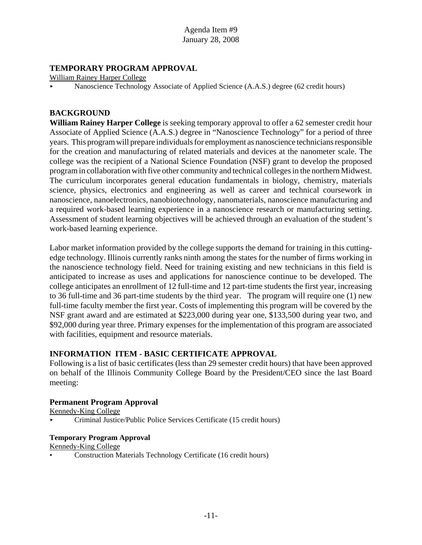# **TEMPORARY PROGRAM APPROVAL**

William Rainey Harper College

Nanoscience Technology Associate of Applied Science (A.A.S.) degree (62 credit hours)

# **BACKGROUND**

**William Rainey Harper College** is seeking temporary approval to offer a 62 semester credit hour Associate of Applied Science (A.A.S.) degree in "Nanoscience Technology" for a period of three years. This program will prepare individuals for employment as nanoscience technicians responsible for the creation and manufacturing of related materials and devices at the nanometer scale. The college was the recipient of a National Science Foundation (NSF) grant to develop the proposed program in collaboration with five other community and technical colleges in the northern Midwest. The curriculum incorporates general education fundamentals in biology, chemistry, materials science, physics, electronics and engineering as well as career and technical coursework in nanoscience, nanoelectronics, nanobiotechnology, nanomaterials, nanoscience manufacturing and a required work-based learning experience in a nanoscience research or manufacturing setting. Assessment of student learning objectives will be achieved through an evaluation of the student's work-based learning experience.

Labor market information provided by the college supports the demand for training in this cuttingedge technology. Illinois currently ranks ninth among the states for the number of firms working in the nanoscience technology field. Need for training existing and new technicians in this field is anticipated to increase as uses and applications for nanoscience continue to be developed. The college anticipates an enrollment of 12 full-time and 12 part-time students the first year, increasing to 36 full-time and 36 part-time students by the third year. The program will require one (1) new full-time faculty member the first year. Costs of implementing this program will be covered by the NSF grant award and are estimated at \$223,000 during year one, \$133,500 during year two, and \$92,000 during year three. Primary expenses for the implementation of this program are associated with facilities, equipment and resource materials.

# **INFORMATION ITEM - BASIC CERTIFICATE APPROVAL**

Following is a list of basic certificates (less than 29 semester credit hours) that have been approved on behalf of the Illinois Community College Board by the President/CEO since the last Board meeting:

#### **Permanent Program Approval**

Kennedy-King College

< Criminal Justice/Public Police Services Certificate (15 credit hours)

#### **Temporary Program Approval**

Kennedy-King College

• Construction Materials Technology Certificate (16 credit hours)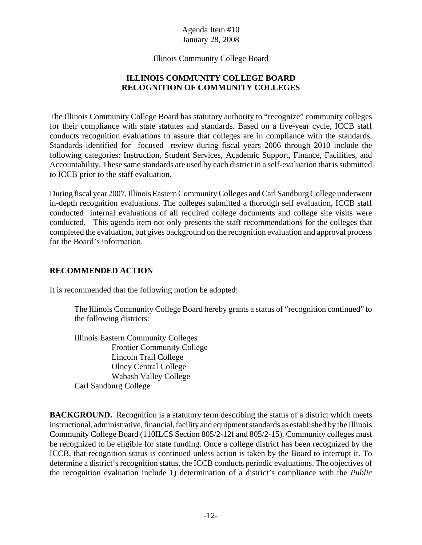Illinois Community College Board

# **ILLINOIS COMMUNITY COLLEGE BOARD RECOGNITION OF COMMUNITY COLLEGES**

The Illinois Community College Board has statutory authority to "recognize" community colleges for their compliance with state statutes and standards. Based on a five-year cycle, ICCB staff conducts recognition evaluations to assure that colleges are in compliance with the standards. Standards identified for focused review during fiscal years 2006 through 2010 include the following categories: Instruction, Student Services, Academic Support, Finance, Facilities, and Accountability. These same standards are used by each district in a self-evaluation that is submitted to ICCB prior to the staff evaluation.

During fiscal year 2007, Illinois Eastern Community Colleges and Carl Sandburg College underwent in-depth recognition evaluations. The colleges submitted a thorough self evaluation, ICCB staff conducted internal evaluations of all required college documents and college site visits were conducted. This agenda item not only presents the staff recommendations for the colleges that completed the evaluation, but gives background on the recognition evaluation and approval process for the Board's information.

# **RECOMMENDED ACTION**

It is recommended that the following motion be adopted:

The Illinois Community College Board hereby grants a status of "recognition continued" to the following districts:

Illinois Eastern Community Colleges Frontier Community College Lincoln Trail College Olney Central College Wabash Valley College Carl Sandburg College

**BACKGROUND.** Recognition is a statutory term describing the status of a district which meets instructional, administrative, financial, facility and equipment standards as established by the Illinois Community College Board (110ILCS Section 805/2-12f and 805/2-15). Community colleges must be recognized to be eligible for state funding. Once a college district has been recognized by the ICCB, that recognition status is continued unless action is taken by the Board to interrupt it. To determine a district's recognition status, the ICCB conducts periodic evaluations. The objectives of the recognition evaluation include 1) determination of a district's compliance with the *Public*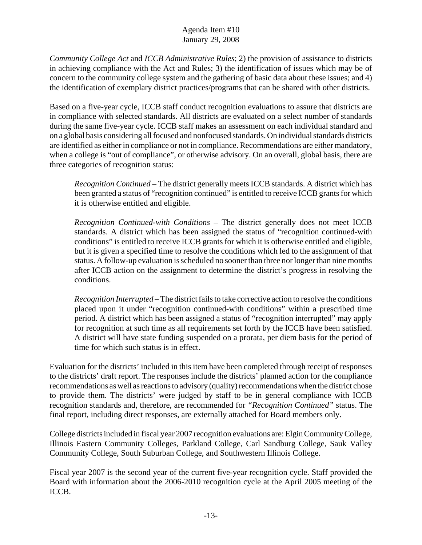*Community College Act* and *ICCB Administrative Rules*; 2) the provision of assistance to districts in achieving compliance with the Act and Rules; 3) the identification of issues which may be of concern to the community college system and the gathering of basic data about these issues; and 4) the identification of exemplary district practices/programs that can be shared with other districts.

Based on a five-year cycle, ICCB staff conduct recognition evaluations to assure that districts are in compliance with selected standards. All districts are evaluated on a select number of standards during the same five-year cycle. ICCB staff makes an assessment on each individual standard and on a global basis considering all focused and nonfocused standards. On individual standards districts are identified as either in compliance or not in compliance. Recommendations are either mandatory, when a college is "out of compliance", or otherwise advisory. On an overall, global basis, there are three categories of recognition status:

*Recognition Continued* – The district generally meets ICCB standards. A district which has been granted a status of "recognition continued" is entitled to receive ICCB grants for which it is otherwise entitled and eligible.

*Recognition Continued-with Conditions* – The district generally does not meet ICCB standards. A district which has been assigned the status of "recognition continued-with conditions" is entitled to receive ICCB grants for which it is otherwise entitled and eligible, but it is given a specified time to resolve the conditions which led to the assignment of that status. A follow-up evaluation is scheduled no sooner than three nor longer than nine months after ICCB action on the assignment to determine the district's progress in resolving the conditions.

*Recognition Interrupted* – The district fails to take corrective action to resolve the conditions placed upon it under "recognition continued-with conditions" within a prescribed time period. A district which has been assigned a status of "recognition interrupted" may apply for recognition at such time as all requirements set forth by the ICCB have been satisfied. A district will have state funding suspended on a prorata, per diem basis for the period of time for which such status is in effect.

Evaluation for the districts' included in this item have been completed through receipt of responses to the districts' draft report. The responses include the districts' planned action for the compliance recommendations as well as reactions to advisory (quality) recommendations when the district chose to provide them. The districts' were judged by staff to be in general compliance with ICCB recognition standards and, therefore, are recommended for *"Recognition Continued"* status. The final report, including direct responses, are externally attached for Board members only.

College districts included in fiscal year 2007 recognition evaluations are: Elgin Community College, Illinois Eastern Community Colleges, Parkland College, Carl Sandburg College, Sauk Valley Community College, South Suburban College, and Southwestern Illinois College.

Fiscal year 2007 is the second year of the current five-year recognition cycle. Staff provided the Board with information about the 2006-2010 recognition cycle at the April 2005 meeting of the ICCB.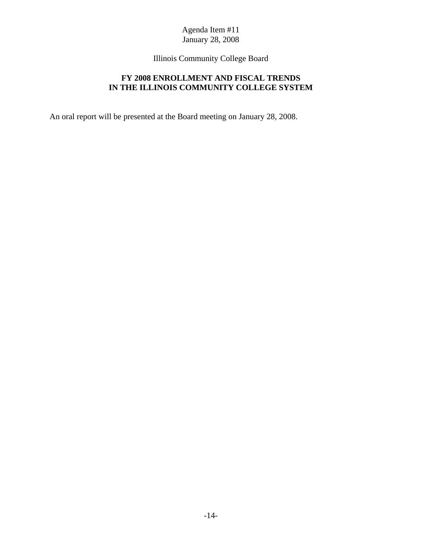Illinois Community College Board

# **FY 2008 ENROLLMENT AND FISCAL TRENDS IN THE ILLINOIS COMMUNITY COLLEGE SYSTEM**

An oral report will be presented at the Board meeting on January 28, 2008.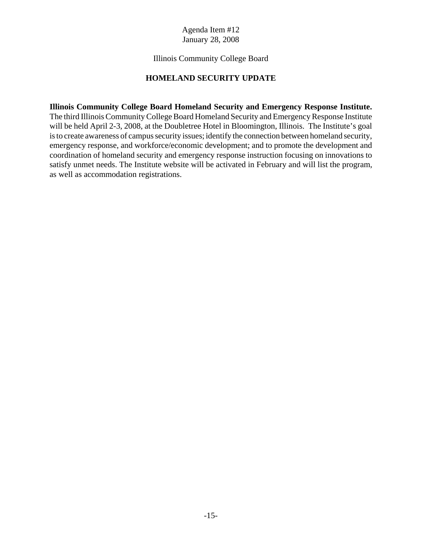## Illinois Community College Board

# **HOMELAND SECURITY UPDATE**

**Illinois Community College Board Homeland Security and Emergency Response Institute.** The third Illinois Community College Board Homeland Security and Emergency Response Institute will be held April 2-3, 2008, at the Doubletree Hotel in Bloomington, Illinois. The Institute's goal is to create awareness of campus security issues; identify the connection between homeland security, emergency response, and workforce/economic development; and to promote the development and coordination of homeland security and emergency response instruction focusing on innovations to satisfy unmet needs. The Institute website will be activated in February and will list the program, as well as accommodation registrations.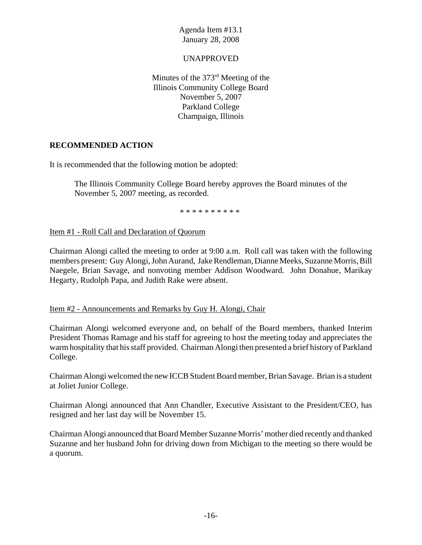## UNAPPROVED

Minutes of the 373rd Meeting of the Illinois Community College Board November 5, 2007 Parkland College Champaign, Illinois

# **RECOMMENDED ACTION**

It is recommended that the following motion be adopted:

The Illinois Community College Board hereby approves the Board minutes of the November 5, 2007 meeting, as recorded.

\* \* \* \* \* \* \* \* \* \*

Item #1 - Roll Call and Declaration of Quorum

Chairman Alongi called the meeting to order at 9:00 a.m. Roll call was taken with the following members present: Guy Alongi, John Aurand, Jake Rendleman, Dianne Meeks, Suzanne Morris, Bill Naegele, Brian Savage, and nonvoting member Addison Woodward. John Donahue, Marikay Hegarty, Rudolph Papa, and Judith Rake were absent.

#### Item #2 - Announcements and Remarks by Guy H. Alongi, Chair

Chairman Alongi welcomed everyone and, on behalf of the Board members, thanked Interim President Thomas Ramage and his staff for agreeing to host the meeting today and appreciates the warm hospitality that his staff provided. Chairman Alongi then presented a brief history of Parkland College.

Chairman Alongi welcomed the new ICCB Student Board member, Brian Savage. Brian is a student at Joliet Junior College.

Chairman Alongi announced that Ann Chandler, Executive Assistant to the President/CEO, has resigned and her last day will be November 15.

Chairman Alongi announced that Board Member Suzanne Morris' mother died recently and thanked Suzanne and her husband John for driving down from Michigan to the meeting so there would be a quorum.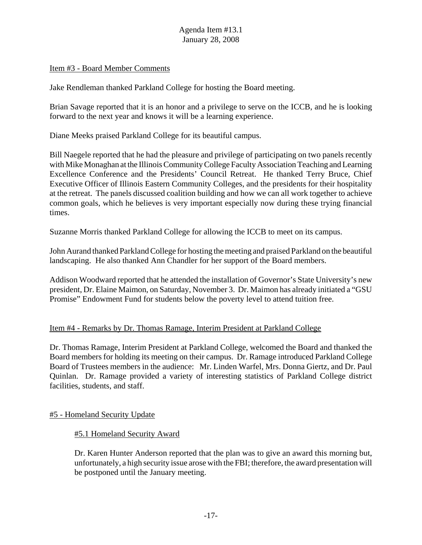#### Item #3 - Board Member Comments

Jake Rendleman thanked Parkland College for hosting the Board meeting.

Brian Savage reported that it is an honor and a privilege to serve on the ICCB, and he is looking forward to the next year and knows it will be a learning experience.

Diane Meeks praised Parkland College for its beautiful campus.

Bill Naegele reported that he had the pleasure and privilege of participating on two panels recently with Mike Monaghan at the Illinois Community College Faculty Association Teaching and Learning Excellence Conference and the Presidents' Council Retreat. He thanked Terry Bruce, Chief Executive Officer of Illinois Eastern Community Colleges, and the presidents for their hospitality at the retreat. The panels discussed coalition building and how we can all work together to achieve common goals, which he believes is very important especially now during these trying financial times.

Suzanne Morris thanked Parkland College for allowing the ICCB to meet on its campus.

John Aurand thanked Parkland College for hosting the meeting and praised Parkland on the beautiful landscaping. He also thanked Ann Chandler for her support of the Board members.

Addison Woodward reported that he attended the installation of Governor's State University's new president, Dr. Elaine Maimon, on Saturday, November 3. Dr. Maimon has already initiated a "GSU Promise" Endowment Fund for students below the poverty level to attend tuition free.

# Item #4 - Remarks by Dr. Thomas Ramage, Interim President at Parkland College

Dr. Thomas Ramage, Interim President at Parkland College, welcomed the Board and thanked the Board members for holding its meeting on their campus. Dr. Ramage introduced Parkland College Board of Trustees members in the audience: Mr. Linden Warfel, Mrs. Donna Giertz, and Dr. Paul Quinlan. Dr. Ramage provided a variety of interesting statistics of Parkland College district facilities, students, and staff.

#### #5 - Homeland Security Update

#### #5.1 Homeland Security Award

Dr. Karen Hunter Anderson reported that the plan was to give an award this morning but, unfortunately, a high security issue arose with the FBI; therefore, the award presentation will be postponed until the January meeting.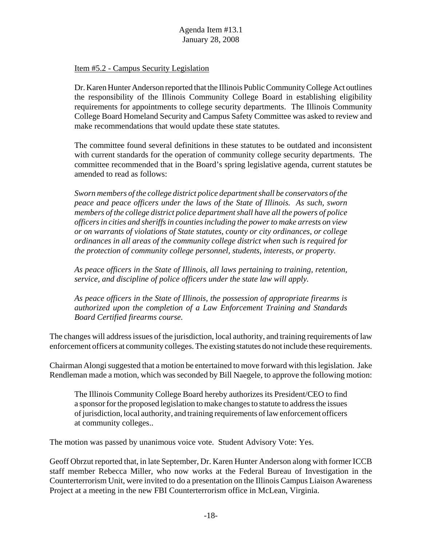### Item #5.2 - Campus Security Legislation

Dr. Karen Hunter Anderson reported that the Illinois Public Community College Act outlines the responsibility of the Illinois Community College Board in establishing eligibility requirements for appointments to college security departments. The Illinois Community College Board Homeland Security and Campus Safety Committee was asked to review and make recommendations that would update these state statutes.

The committee found several definitions in these statutes to be outdated and inconsistent with current standards for the operation of community college security departments. The committee recommended that in the Board's spring legislative agenda, current statutes be amended to read as follows:

*Sworn members of the college district police department shall be conservators of the peace and peace officers under the laws of the State of Illinois. As such, sworn members of the college district police department shall have all the powers of police officers in cities and sheriffs in counties including the power to make arrests on view or on warrants of violations of State statutes, county or city ordinances, or college ordinances in all areas of the community college district when such is required for the protection of community college personnel, students, interests, or property.*

*As peace officers in the State of Illinois, all laws pertaining to training, retention, service, and discipline of police officers under the state law will apply.*

*As peace officers in the State of Illinois, the possession of appropriate firearms is authorized upon the completion of a Law Enforcement Training and Standards Board Certified firearms course.*

The changes will address issues of the jurisdiction, local authority, and training requirements of law enforcement officers at community colleges. The existing statutes do not include these requirements.

Chairman Alongi suggested that a motion be entertained to move forward with this legislation. Jake Rendleman made a motion, which was seconded by Bill Naegele, to approve the following motion:

The Illinois Community College Board hereby authorizes its President/CEO to find a sponsor for the proposed legislation to make changes to statute to address the issues of jurisdiction, local authority, and training requirements of law enforcement officers at community colleges..

The motion was passed by unanimous voice vote. Student Advisory Vote: Yes.

Geoff Obrzut reported that, in late September, Dr. Karen Hunter Anderson along with former ICCB staff member Rebecca Miller, who now works at the Federal Bureau of Investigation in the Counterterrorism Unit, were invited to do a presentation on the Illinois Campus Liaison Awareness Project at a meeting in the new FBI Counterterrorism office in McLean, Virginia.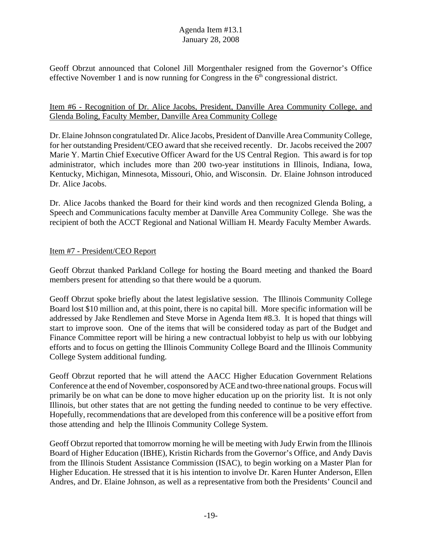Geoff Obrzut announced that Colonel Jill Morgenthaler resigned from the Governor's Office effective November 1 and is now running for Congress in the  $6<sup>th</sup>$  congressional district.

#### Item #6 - Recognition of Dr. Alice Jacobs, President, Danville Area Community College, and Glenda Boling, Faculty Member, Danville Area Community College

Dr. Elaine Johnson congratulated Dr. Alice Jacobs, President of Danville Area Community College, for her outstanding President/CEO award that she received recently. Dr. Jacobs received the 2007 Marie Y. Martin Chief Executive Officer Award for the US Central Region. This award is for top administrator, which includes more than 200 two-year institutions in Illinois, Indiana, Iowa, Kentucky, Michigan, Minnesota, Missouri, Ohio, and Wisconsin. Dr. Elaine Johnson introduced Dr. Alice Jacobs.

Dr. Alice Jacobs thanked the Board for their kind words and then recognized Glenda Boling, a Speech and Communications faculty member at Danville Area Community College. She was the recipient of both the ACCT Regional and National William H. Meardy Faculty Member Awards.

#### Item #7 - President/CEO Report

Geoff Obrzut thanked Parkland College for hosting the Board meeting and thanked the Board members present for attending so that there would be a quorum.

Geoff Obrzut spoke briefly about the latest legislative session. The Illinois Community College Board lost \$10 million and, at this point, there is no capital bill. More specific information will be addressed by Jake Rendlemen and Steve Morse in Agenda Item #8.3. It is hoped that things will start to improve soon. One of the items that will be considered today as part of the Budget and Finance Committee report will be hiring a new contractual lobbyist to help us with our lobbying efforts and to focus on getting the Illinois Community College Board and the Illinois Community College System additional funding.

Geoff Obrzut reported that he will attend the AACC Higher Education Government Relations Conference at the end of November, cosponsored by ACE and two-three national groups. Focus will primarily be on what can be done to move higher education up on the priority list. It is not only Illinois, but other states that are not getting the funding needed to continue to be very effective. Hopefully, recommendations that are developed from this conference will be a positive effort from those attending and help the Illinois Community College System.

Geoff Obrzut reported that tomorrow morning he will be meeting with Judy Erwin from the Illinois Board of Higher Education (IBHE), Kristin Richards from the Governor's Office, and Andy Davis from the Illinois Student Assistance Commission (ISAC), to begin working on a Master Plan for Higher Education. He stressed that it is his intention to involve Dr. Karen Hunter Anderson, Ellen Andres, and Dr. Elaine Johnson, as well as a representative from both the Presidents' Council and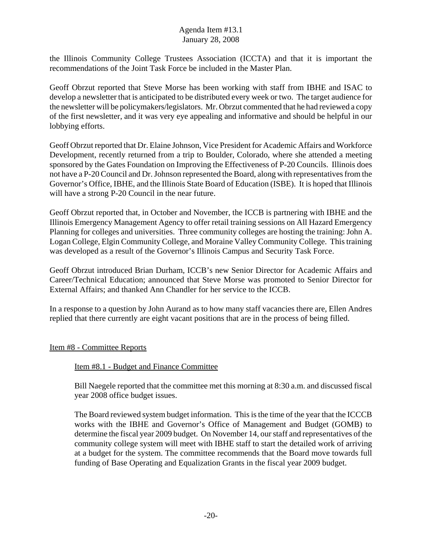the Illinois Community College Trustees Association (ICCTA) and that it is important the recommendations of the Joint Task Force be included in the Master Plan.

Geoff Obrzut reported that Steve Morse has been working with staff from IBHE and ISAC to develop a newsletter that is anticipated to be distributed every week or two. The target audience for the newsletter will be policymakers/legislators. Mr. Obrzut commented that he had reviewed a copy of the first newsletter, and it was very eye appealing and informative and should be helpful in our lobbying efforts.

Geoff Obrzut reported that Dr. Elaine Johnson, Vice President for Academic Affairs and Workforce Development, recently returned from a trip to Boulder, Colorado, where she attended a meeting sponsored by the Gates Foundation on Improving the Effectiveness of P-20 Councils. Illinois does not have a P-20 Council and Dr. Johnson represented the Board, along with representatives from the Governor's Office, IBHE, and the Illinois State Board of Education (ISBE). It is hoped that Illinois will have a strong P-20 Council in the near future.

Geoff Obrzut reported that, in October and November, the ICCB is partnering with IBHE and the Illinois Emergency Management Agency to offer retail training sessions on All Hazard Emergency Planning for colleges and universities. Three community colleges are hosting the training: John A. Logan College, Elgin Community College, and Moraine Valley Community College. This training was developed as a result of the Governor's Illinois Campus and Security Task Force.

Geoff Obrzut introduced Brian Durham, ICCB's new Senior Director for Academic Affairs and Career/Technical Education; announced that Steve Morse was promoted to Senior Director for External Affairs; and thanked Ann Chandler for her service to the ICCB.

In a response to a question by John Aurand as to how many staff vacancies there are, Ellen Andres replied that there currently are eight vacant positions that are in the process of being filled.

# Item #8 - Committee Reports

#### Item #8.1 - Budget and Finance Committee

Bill Naegele reported that the committee met this morning at 8:30 a.m. and discussed fiscal year 2008 office budget issues.

The Board reviewed system budget information. This is the time of the year that the ICCCB works with the IBHE and Governor's Office of Management and Budget (GOMB) to determine the fiscal year 2009 budget. On November 14, our staff and representatives of the community college system will meet with IBHE staff to start the detailed work of arriving at a budget for the system. The committee recommends that the Board move towards full funding of Base Operating and Equalization Grants in the fiscal year 2009 budget.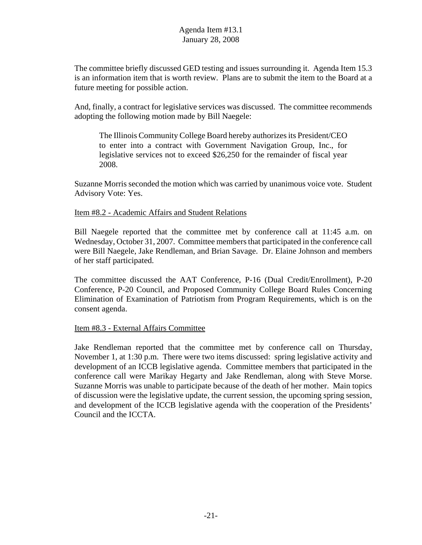The committee briefly discussed GED testing and issues surrounding it. Agenda Item 15.3 is an information item that is worth review. Plans are to submit the item to the Board at a future meeting for possible action.

And, finally, a contract for legislative services was discussed. The committee recommends adopting the following motion made by Bill Naegele:

The Illinois Community College Board hereby authorizes its President/CEO to enter into a contract with Government Navigation Group, Inc., for legislative services not to exceed \$26,250 for the remainder of fiscal year 2008.

Suzanne Morris seconded the motion which was carried by unanimous voice vote. Student Advisory Vote: Yes.

#### Item #8.2 - Academic Affairs and Student Relations

Bill Naegele reported that the committee met by conference call at 11:45 a.m. on Wednesday, October 31, 2007. Committee members that participated in the conference call were Bill Naegele, Jake Rendleman, and Brian Savage. Dr. Elaine Johnson and members of her staff participated.

The committee discussed the AAT Conference, P-16 (Dual Credit/Enrollment), P-20 Conference, P-20 Council, and Proposed Community College Board Rules Concerning Elimination of Examination of Patriotism from Program Requirements, which is on the consent agenda.

#### Item #8.3 - External Affairs Committee

Jake Rendleman reported that the committee met by conference call on Thursday, November 1, at 1:30 p.m. There were two items discussed: spring legislative activity and development of an ICCB legislative agenda. Committee members that participated in the conference call were Marikay Hegarty and Jake Rendleman, along with Steve Morse. Suzanne Morris was unable to participate because of the death of her mother. Main topics of discussion were the legislative update, the current session, the upcoming spring session, and development of the ICCB legislative agenda with the cooperation of the Presidents' Council and the ICCTA.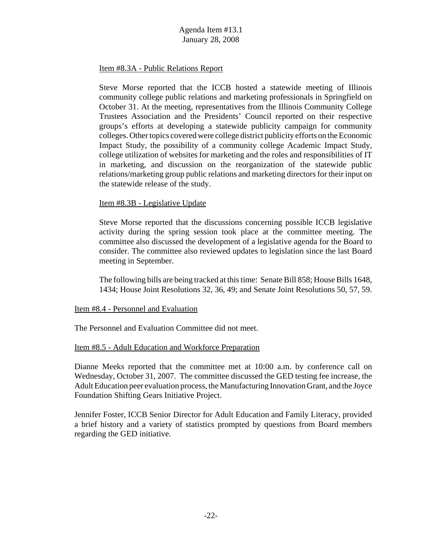#### Item #8.3A - Public Relations Report

Steve Morse reported that the ICCB hosted a statewide meeting of Illinois community college public relations and marketing professionals in Springfield on October 31. At the meeting, representatives from the Illinois Community College Trustees Association and the Presidents' Council reported on their respective groups's efforts at developing a statewide publicity campaign for community colleges. Other topics covered were college district publicity efforts on the Economic Impact Study, the possibility of a community college Academic Impact Study, college utilization of websites for marketing and the roles and responsibilities of IT in marketing, and discussion on the reorganization of the statewide public relations/marketing group public relations and marketing directors for their input on the statewide release of the study.

#### Item #8.3B - Legislative Update

Steve Morse reported that the discussions concerning possible ICCB legislative activity during the spring session took place at the committee meeting. The committee also discussed the development of a legislative agenda for the Board to consider. The committee also reviewed updates to legislation since the last Board meeting in September.

The following bills are being tracked at this time: Senate Bill 858; House Bills 1648, 1434; House Joint Resolutions 32, 36, 49; and Senate Joint Resolutions 50, 57, 59.

#### Item #8.4 - Personnel and Evaluation

The Personnel and Evaluation Committee did not meet.

#### Item #8.5 - Adult Education and Workforce Preparation

Dianne Meeks reported that the committee met at 10:00 a.m. by conference call on Wednesday, October 31, 2007. The committee discussed the GED testing fee increase, the Adult Education peer evaluation process, the Manufacturing Innovation Grant, and the Joyce Foundation Shifting Gears Initiative Project.

Jennifer Foster, ICCB Senior Director for Adult Education and Family Literacy, provided a brief history and a variety of statistics prompted by questions from Board members regarding the GED initiative.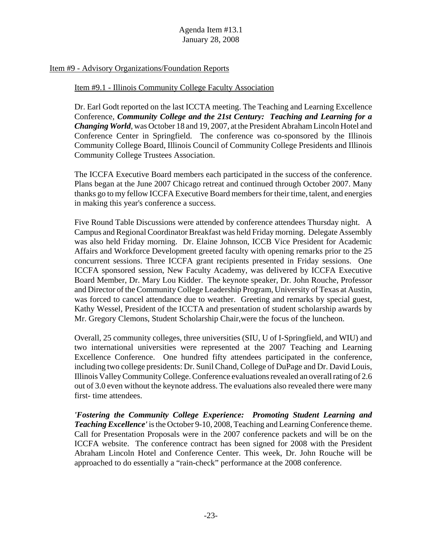#### Item #9 - Advisory Organizations/Foundation Reports

#### Item #9.1 - Illinois Community College Faculty Association

Dr. Earl Godt reported on the last ICCTA meeting. The Teaching and Learning Excellence Conference, *Community College and the 21st Century: Teaching and Learning for a Changing World*, was October 18 and 19, 2007, at the President Abraham Lincoln Hotel and Conference Center in Springfield. The conference was co-sponsored by the Illinois Community College Board, Illinois Council of Community College Presidents and Illinois Community College Trustees Association.

The ICCFA Executive Board members each participated in the success of the conference. Plans began at the June 2007 Chicago retreat and continued through October 2007. Many thanks go to my fellow ICCFA Executive Board members for their time, talent, and energies in making this year's conference a success.

Five Round Table Discussions were attended by conference attendees Thursday night. A Campus and Regional Coordinator Breakfast was held Friday morning. Delegate Assembly was also held Friday morning. Dr. Elaine Johnson, ICCB Vice President for Academic Affairs and Workforce Development greeted faculty with opening remarks prior to the 25 concurrent sessions. Three ICCFA grant recipients presented in Friday sessions. One ICCFA sponsored session, New Faculty Academy, was delivered by ICCFA Executive Board Member, Dr. Mary Lou Kidder. The keynote speaker, Dr. John Rouche, Professor and Director of the Community College Leadership Program, University of Texas at Austin, was forced to cancel attendance due to weather. Greeting and remarks by special guest, Kathy Wessel, President of the ICCTA and presentation of student scholarship awards by Mr. Gregory Clemons, Student Scholarship Chair,were the focus of the luncheon.

Overall, 25 community colleges, three universities (SIU, U of I-Springfield, and WIU) and two international universities were represented at the 2007 Teaching and Learning Excellence Conference. One hundred fifty attendees participated in the conference, including two college presidents: Dr. Sunil Chand, College of DuPage and Dr. David Louis, Illinois Valley Community College. Conference evaluations revealed an overall rating of 2.6 out of 3.0 even without the keynote address. The evaluations also revealed there were many first- time attendees.

*'Fostering the Community College Experience: Promoting Student Learning and Teaching Excellence'* is the October 9-10, 2008, Teaching and Learning Conference theme. Call for Presentation Proposals were in the 2007 conference packets and will be on the ICCFA website. The conference contract has been signed for 2008 with the President Abraham Lincoln Hotel and Conference Center. This week, Dr. John Rouche will be approached to do essentially a "rain-check" performance at the 2008 conference.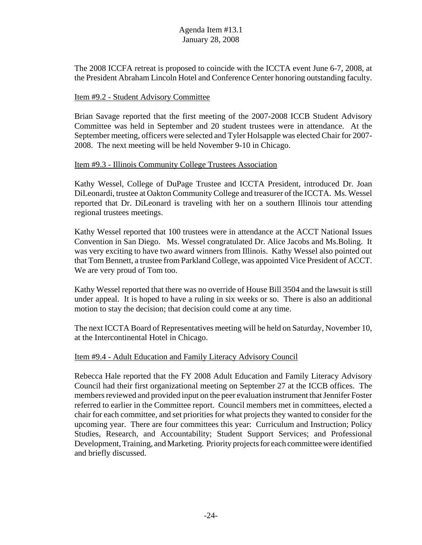The 2008 ICCFA retreat is proposed to coincide with the ICCTA event June 6-7, 2008, at the President Abraham Lincoln Hotel and Conference Center honoring outstanding faculty.

#### Item #9.2 - Student Advisory Committee

Brian Savage reported that the first meeting of the 2007-2008 ICCB Student Advisory Committee was held in September and 20 student trustees were in attendance. At the September meeting, officers were selected and Tyler Holsapple was elected Chair for 2007- 2008. The next meeting will be held November 9-10 in Chicago.

#### Item #9.3 - Illinois Community College Trustees Association

Kathy Wessel, College of DuPage Trustee and ICCTA President, introduced Dr. Joan DiLeonardi, trustee at Oakton Community College and treasurer of the ICCTA. Ms. Wessel reported that Dr. DiLeonard is traveling with her on a southern Illinois tour attending regional trustees meetings.

Kathy Wessel reported that 100 trustees were in attendance at the ACCT National Issues Convention in San Diego. Ms. Wessel congratulated Dr. Alice Jacobs and Ms.Boling. It was very exciting to have two award winners from Illinois. Kathy Wessel also pointed out that Tom Bennett, a trustee from Parkland College, was appointed Vice President of ACCT. We are very proud of Tom too.

Kathy Wessel reported that there was no override of House Bill 3504 and the lawsuit is still under appeal. It is hoped to have a ruling in six weeks or so. There is also an additional motion to stay the decision; that decision could come at any time.

The next ICCTA Board of Representatives meeting will be held on Saturday, November 10, at the Intercontinental Hotel in Chicago.

#### Item #9.4 - Adult Education and Family Literacy Advisory Council

Rebecca Hale reported that the FY 2008 Adult Education and Family Literacy Advisory Council had their first organizational meeting on September 27 at the ICCB offices. The members reviewed and provided input on the peer evaluation instrument that Jennifer Foster referred to earlier in the Committee report. Council members met in committees, elected a chair for each committee, and set priorities for what projects they wanted to consider for the upcoming year. There are four committees this year: Curriculum and Instruction; Policy Studies, Research, and Accountability; Student Support Services; and Professional Development, Training, and Marketing. Priority projects for each committee were identified and briefly discussed.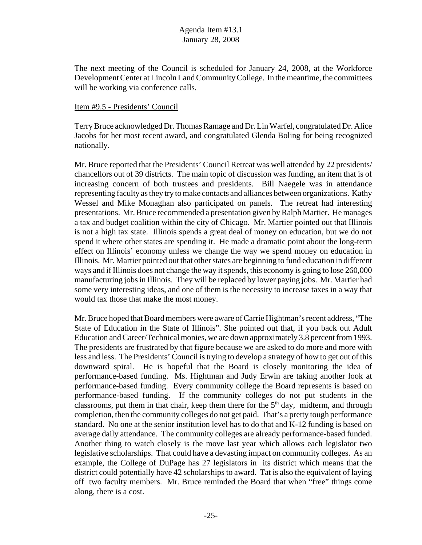The next meeting of the Council is scheduled for January 24, 2008, at the Workforce Development Center at Lincoln Land Community College. In the meantime, the committees will be working via conference calls.

#### Item #9.5 - Presidents' Council

Terry Bruce acknowledged Dr. Thomas Ramage and Dr. Lin Warfel, congratulated Dr. Alice Jacobs for her most recent award, and congratulated Glenda Boling for being recognized nationally.

Mr. Bruce reported that the Presidents' Council Retreat was well attended by 22 presidents/ chancellors out of 39 districts. The main topic of discussion was funding, an item that is of increasing concern of both trustees and presidents. Bill Naegele was in attendance representing faculty as they try to make contacts and alliances between organizations. Kathy Wessel and Mike Monaghan also participated on panels. The retreat had interesting presentations. Mr. Bruce recommended a presentation given by Ralph Martier. He manages a tax and budget coalition within the city of Chicago. Mr. Martier pointed out that Illinois is not a high tax state. Illinois spends a great deal of money on education, but we do not spend it where other states are spending it. He made a dramatic point about the long-term effect on Illinois' economy unless we change the way we spend money on education in Illinois. Mr. Martier pointed out that other states are beginning to fund education in different ways and if Illinois does not change the way it spends, this economy is going to lose 260,000 manufacturing jobs in Illinois. They will be replaced by lower paying jobs. Mr. Martier had some very interesting ideas, and one of them is the necessity to increase taxes in a way that would tax those that make the most money.

Mr. Bruce hoped that Board members were aware of Carrie Hightman's recent address, "The State of Education in the State of Illinois". She pointed out that, if you back out Adult Education and Career/Technical monies, we are down approximately 3.8 percent from 1993. The presidents are frustrated by that figure because we are asked to do more and more with less and less. The Presidents' Council is trying to develop a strategy of how to get out of this downward spiral. He is hopeful that the Board is closely monitoring the idea of performance-based funding. Ms. Hightman and Judy Erwin are taking another look at performance-based funding. Every community college the Board represents is based on performance-based funding. If the community colleges do not put students in the classrooms, put them in that chair, keep them there for the  $5<sup>th</sup>$  day, midterm, and through completion, then the community colleges do not get paid. That's a pretty tough performance standard. No one at the senior institution level has to do that and K-12 funding is based on average daily attendance. The community colleges are already performance-based funded. Another thing to watch closely is the move last year which allows each legislator two legislative scholarships. That could have a devasting impact on community colleges. As an example, the College of DuPage has 27 legislators in its district which means that the district could potentially have 42 scholarships to award. Tat is also the equivalent of laying off two faculty members. Mr. Bruce reminded the Board that when "free" things come along, there is a cost.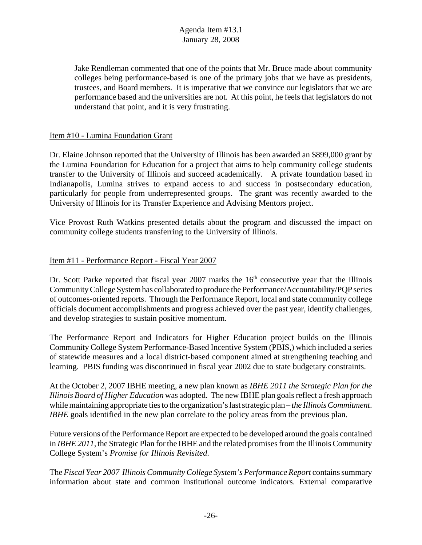Jake Rendleman commented that one of the points that Mr. Bruce made about community colleges being performance-based is one of the primary jobs that we have as presidents, trustees, and Board members. It is imperative that we convince our legislators that we are performance based and the universities are not. At this point, he feels that legislators do not understand that point, and it is very frustrating.

## Item #10 - Lumina Foundation Grant

Dr. Elaine Johnson reported that the University of Illinois has been awarded an \$899,000 grant by the Lumina Foundation for Education for a project that aims to help community college students transfer to the University of Illinois and succeed academically. A private foundation based in Indianapolis, Lumina strives to expand access to and success in postsecondary education, particularly for people from underrepresented groups. The grant was recently awarded to the University of Illinois for its Transfer Experience and Advising Mentors project.

Vice Provost Ruth Watkins presented details about the program and discussed the impact on community college students transferring to the University of Illinois.

#### Item #11 - Performance Report - Fiscal Year 2007

Dr. Scott Parke reported that fiscal year 2007 marks the 16<sup>th</sup> consecutive year that the Illinois Community College System has collaborated to produce the Performance/Accountability/PQP series of outcomes-oriented reports. Through the Performance Report, local and state community college officials document accomplishments and progress achieved over the past year, identify challenges, and develop strategies to sustain positive momentum.

The Performance Report and Indicators for Higher Education project builds on the Illinois Community College System Performance-Based Incentive System (PBIS,) which included a series of statewide measures and a local district-based component aimed at strengthening teaching and learning. PBIS funding was discontinued in fiscal year 2002 due to state budgetary constraints.

At the October 2, 2007 IBHE meeting, a new plan known as *IBHE 2011 the Strategic Plan for the Illinois Board of Higher Education* was adopted. The new IBHE plan goals reflect a fresh approach while maintaining appropriate ties to the organization's last strategic plan – *the Illinois Commitment*. *IBHE* goals identified in the new plan correlate to the policy areas from the previous plan.

Future versions of the Performance Report are expected to be developed around the goals contained in *IBHE 2011,* the Strategic Plan for the IBHE and the related promises from the Illinois Community College System's *Promise for Illinois Revisited*.

The *Fiscal Year 2007 Illinois Community College System's Performance Report* contains summary information about state and common institutional outcome indicators. External comparative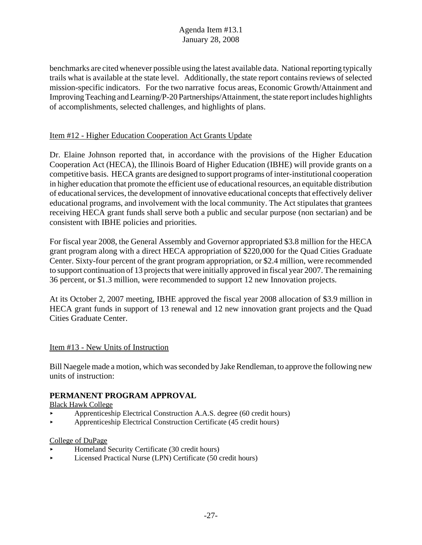benchmarks are cited whenever possible using the latest available data. National reporting typically trails what is available at the state level. Additionally, the state report contains reviews of selected mission-specific indicators. For the two narrative focus areas, Economic Growth/Attainment and Improving Teaching and Learning/P-20 Partnerships/Attainment, the state report includes highlights of accomplishments, selected challenges, and highlights of plans.

# Item #12 - Higher Education Cooperation Act Grants Update

Dr. Elaine Johnson reported that, in accordance with the provisions of the Higher Education Cooperation Act (HECA), the Illinois Board of Higher Education (IBHE) will provide grants on a competitive basis. HECA grants are designed to support programs of inter-institutional cooperation in higher education that promote the efficient use of educational resources, an equitable distribution of educational services, the development of innovative educational concepts that effectively deliver educational programs, and involvement with the local community. The Act stipulates that grantees receiving HECA grant funds shall serve both a public and secular purpose (non sectarian) and be consistent with IBHE policies and priorities.

For fiscal year 2008, the General Assembly and Governor appropriated \$3.8 million for the HECA grant program along with a direct HECA appropriation of \$220,000 for the Quad Cities Graduate Center. Sixty-four percent of the grant program appropriation, or \$2.4 million, were recommended to support continuation of 13 projects that were initially approved in fiscal year 2007. The remaining 36 percent, or \$1.3 million, were recommended to support 12 new Innovation projects.

At its October 2, 2007 meeting, IBHE approved the fiscal year 2008 allocation of \$3.9 million in HECA grant funds in support of 13 renewal and 12 new innovation grant projects and the Quad Cities Graduate Center.

# Item #13 - New Units of Instruction

Bill Naegele made a motion, which was seconded by Jake Rendleman, to approve the following new units of instruction:

# **PERMANENT PROGRAM APPROVAL**

Black Hawk College

- < Apprenticeship Electrical Construction A.A.S. degree (60 credit hours)
- < Apprenticeship Electrical Construction Certificate (45 credit hours)

# College of DuPage

- < Homeland Security Certificate (30 credit hours)
- < Licensed Practical Nurse (LPN) Certificate (50 credit hours)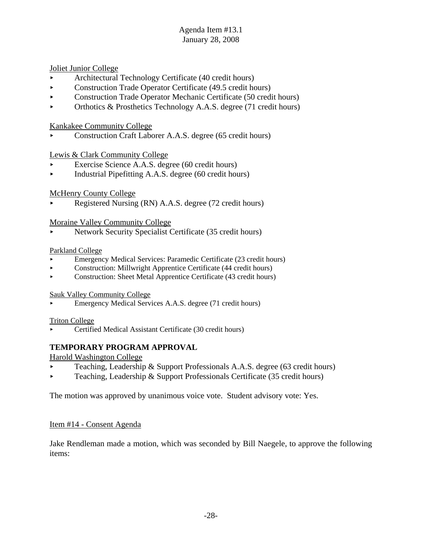Joliet Junior College

- < Architectural Technology Certificate (40 credit hours)
- Construction Trade Operator Certificate (49.5 credit hours)
- Construction Trade Operator Mechanic Certificate (50 credit hours)
- $\triangleright$  Orthotics & Prosthetics Technology A.A.S. degree (71 credit hours)

#### Kankakee Community College

< Construction Craft Laborer A.A.S. degree (65 credit hours)

#### Lewis & Clark Community College

- Exercise Science A.A.S. degree (60 credit hours)
- < Industrial Pipefitting A.A.S. degree (60 credit hours)

#### McHenry County College

< Registered Nursing (RN) A.A.S. degree (72 credit hours)

#### Moraine Valley Community College

< Network Security Specialist Certificate (35 credit hours)

#### Parkland College

- < Emergency Medical Services: Paramedic Certificate (23 credit hours)
- $\blacktriangleright$  Construction: Millwright Apprentice Certificate (44 credit hours)
- $\triangleright$  Construction: Sheet Metal Apprentice Certificate (43 credit hours)

#### Sauk Valley Community College

< Emergency Medical Services A.A.S. degree (71 credit hours)

Triton College

< Certified Medical Assistant Certificate (30 credit hours)

# **TEMPORARY PROGRAM APPROVAL**

Harold Washington College

- < Teaching, Leadership & Support Professionals A.A.S. degree (63 credit hours)
- reaching, Leadership & Support Professionals Certificate (35 credit hours)

The motion was approved by unanimous voice vote. Student advisory vote: Yes.

#### Item #14 - Consent Agenda

Jake Rendleman made a motion, which was seconded by Bill Naegele, to approve the following items: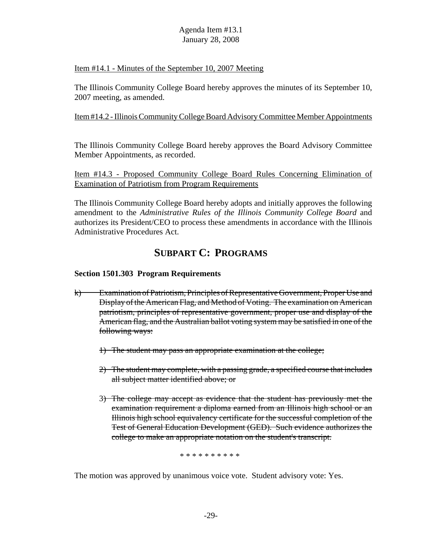#### Item #14.1 - Minutes of the September 10, 2007 Meeting

The Illinois Community College Board hereby approves the minutes of its September 10, 2007 meeting, as amended.

#### Item #14.2 - Illinois Community College Board Advisory Committee Member Appointments

The Illinois Community College Board hereby approves the Board Advisory Committee Member Appointments, as recorded.

Item #14.3 - Proposed Community College Board Rules Concerning Elimination of Examination of Patriotism from Program Requirements

The Illinois Community College Board hereby adopts and initially approves the following amendment to the *Administrative Rules of the Illinois Community College Board* and authorizes its President/CEO to process these amendments in accordance with the Illinois Administrative Procedures Act.

# **SUBPART C: PROGRAMS**

# **Section 1501.303 Program Requirements**

- k) Examination of Patriotism, Principles of Representative Government, Proper Use and Display of the American Flag, and Method of Voting. The examination on American patriotism, principles of representative government, proper use and display of the American flag, and the Australian ballot voting system may be satisfied in one of the following ways:
	- 1) The student may pass an appropriate examination at the college;
	- 2) The student may complete, with a passing grade, a specified course that includes all subject matter identified above; or
	- 3) The college may accept as evidence that the student has previously met the examination requirement a diploma earned from an Illinois high school or an Illinois high school equivalency certificate for the successful completion of the Test of General Education Development (GED). Such evidence authorizes the college to make an appropriate notation on the student's transcript.

\* \* \* \* \* \* \* \* \* \*

The motion was approved by unanimous voice vote. Student advisory vote: Yes.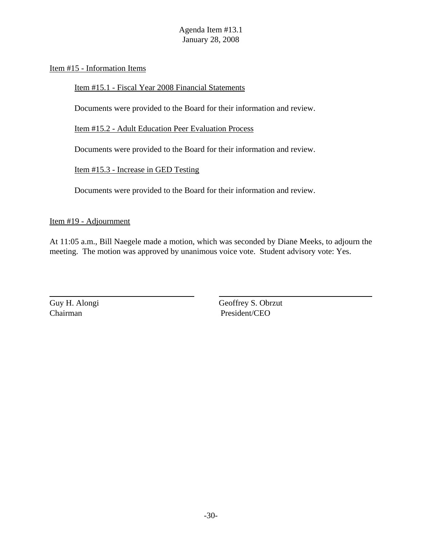Item #15 - Information Items

Item #15.1 - Fiscal Year 2008 Financial Statements

Documents were provided to the Board for their information and review.

Item #15.2 - Adult Education Peer Evaluation Process

Documents were provided to the Board for their information and review.

Item #15.3 - Increase in GED Testing

Documents were provided to the Board for their information and review.

Item #19 - Adjournment

At 11:05 a.m., Bill Naegele made a motion, which was seconded by Diane Meeks, to adjourn the meeting. The motion was approved by unanimous voice vote. Student advisory vote: Yes.

Guy H. Alongi Geoffrey S. Obrzut Chairman President/CEO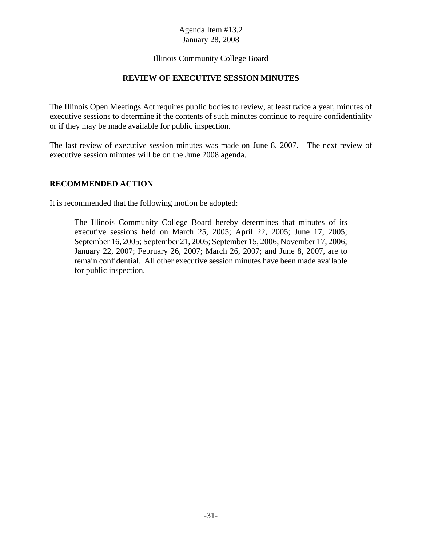# Illinois Community College Board

## **REVIEW OF EXECUTIVE SESSION MINUTES**

The Illinois Open Meetings Act requires public bodies to review, at least twice a year, minutes of executive sessions to determine if the contents of such minutes continue to require confidentiality or if they may be made available for public inspection.

The last review of executive session minutes was made on June 8, 2007. The next review of executive session minutes will be on the June 2008 agenda.

#### **RECOMMENDED ACTION**

It is recommended that the following motion be adopted:

The Illinois Community College Board hereby determines that minutes of its executive sessions held on March 25, 2005; April 22, 2005; June 17, 2005; September 16, 2005; September 21, 2005; September 15, 2006; November 17, 2006; January 22, 2007; February 26, 2007; March 26, 2007; and June 8, 2007, are to remain confidential. All other executive session minutes have been made available for public inspection.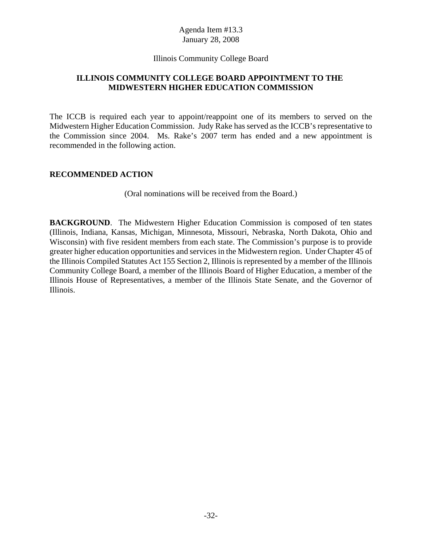#### Illinois Community College Board

# **ILLINOIS COMMUNITY COLLEGE BOARD APPOINTMENT TO THE MIDWESTERN HIGHER EDUCATION COMMISSION**

The ICCB is required each year to appoint/reappoint one of its members to served on the Midwestern Higher Education Commission. Judy Rake has served as the ICCB's representative to the Commission since 2004. Ms. Rake's 2007 term has ended and a new appointment is recommended in the following action.

#### **RECOMMENDED ACTION**

(Oral nominations will be received from the Board.)

**BACKGROUND.** The Midwestern Higher Education Commission is composed of ten states (Illinois, Indiana, Kansas, Michigan, Minnesota, Missouri, Nebraska, North Dakota, Ohio and Wisconsin) with five resident members from each state. The Commission's purpose is to provide greater higher education opportunities and services in the Midwestern region. Under Chapter 45 of the Illinois Compiled Statutes Act 155 Section 2, Illinois is represented by a member of the Illinois Community College Board, a member of the Illinois Board of Higher Education, a member of the Illinois House of Representatives, a member of the Illinois State Senate, and the Governor of Illinois.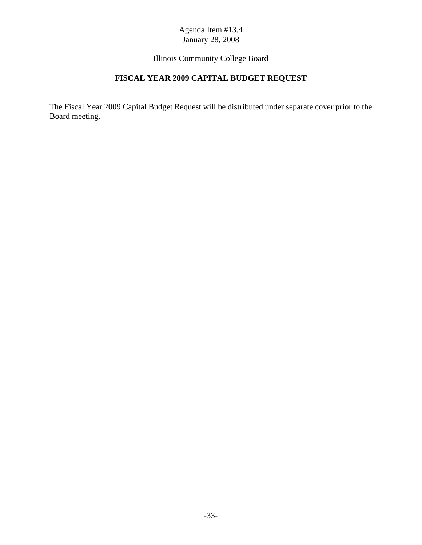# Illinois Community College Board

# **FISCAL YEAR 2009 CAPITAL BUDGET REQUEST**

The Fiscal Year 2009 Capital Budget Request will be distributed under separate cover prior to the Board meeting.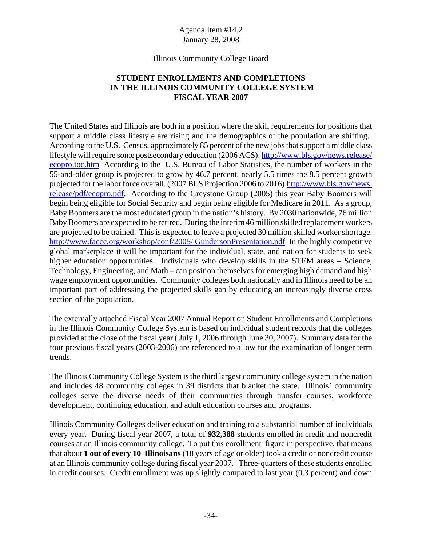#### Illinois Community College Board

# **STUDENT ENROLLMENTS AND COMPLETIONS IN THE ILLINOIS COMMUNITY COLLEGE SYSTEM FISCAL YEAR 2007**

The United States and Illinois are both in a position where the skill requirements for positions that support a middle class lifestyle are rising and the demographics of the population are shifting. According to the U.S. Census, approximately 85 percent of the new jobs that support a middle class lifestyle will require some postsecondary education (2006 ACS). http://www.bls.gov/news.release/ ecopro.toc.htm According to the U.S. Bureau of Labor Statistics, the number of workers in the 55-and-older group is projected to grow by 46.7 percent, nearly 5.5 times the 8.5 percent growth projected for the labor force overall. (2007 BLS Projection 2006 to 2016).http://www.bls.gov/news. release/pdf/ecopro.pdf. According to the Greystone Group (2005) this year Baby Boomers will begin being eligible for Social Security and begin being eligible for Medicare in 2011. As a group, Baby Boomers are the most educated group in the nation's history. By 2030 nationwide, 76 million Baby Boomers are expected to be retired. During the interim 46 million skilled replacement workers are projected to be trained. This is expected to leave a projected 30 million skilled worker shortage. http://www.faccc.org/workshop/conf/2005/ GundersonPresentation.pdf In the highly competitive global marketplace it will be important for the individual, state, and nation for students to seek higher education opportunities. Individuals who develop skills in the STEM areas – Science, Technology, Engineering, and Math – can position themselves for emerging high demand and high wage employment opportunities. Community colleges both nationally and in Illinois need to be an important part of addressing the projected skills gap by educating an increasingly diverse cross section of the population.

The externally attached Fiscal Year 2007 Annual Report on Student Enrollments and Completions in the Illinois Community College System is based on individual student records that the colleges provided at the close of the fiscal year ( July 1, 2006 through June 30, 2007). Summary data for the four previous fiscal years (2003-2006) are referenced to allow for the examination of longer term trends.

The Illinois Community College System is the third largest community college system in the nation and includes 48 community colleges in 39 districts that blanket the state. Illinois' community colleges serve the diverse needs of their communities through transfer courses, workforce development, continuing education, and adult education courses and programs.

Illinois Community Colleges deliver education and training to a substantial number of individuals every year. During fiscal year 2007, a total of **932,388** students enrolled in credit and noncredit courses at an Illinois community college. To put this enrollment figure in perspective, that means that about **1 out of every 10 Illinoisans** (18 years of age or older) took a credit or noncredit course at an Illinois community college during fiscal year 2007. Three-quarters of these students enrolled in credit courses. Credit enrollment was up slightly compared to last year (0.3 percent) and down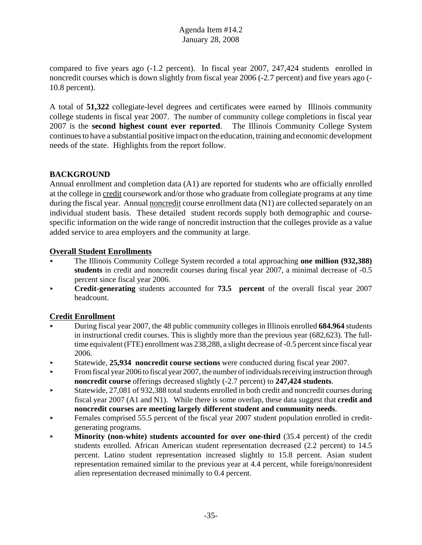compared to five years ago (-1.2 percent). In fiscal year 2007, 247,424 students enrolled in noncredit courses which is down slightly from fiscal year 2006 (-2.7 percent) and five years ago (- 10.8 percent).

A total of **51,322** collegiate-level degrees and certificates were earned by Illinois community college students in fiscal year 2007. The number of community college completions in fiscal year 2007 is the **second highest count ever reported**. The Illinois Community College System continues to have a substantial positive impact on the education, training and economic development needs of the state. Highlights from the report follow.

# **BACKGROUND**

Annual enrollment and completion data (A1) are reported for students who are officially enrolled at the college in credit coursework and/or those who graduate from collegiate programs at any time during the fiscal year. Annual noncredit course enrollment data (N1) are collected separately on an individual student basis. These detailed student records supply both demographic and coursespecific information on the wide range of noncredit instruction that the colleges provide as a value added service to area employers and the community at large.

# **Overall Student Enrollments**

- < The Illinois Community College System recorded a total approaching **one million (932,388) students** in credit and noncredit courses during fiscal year 2007, a minimal decrease of -0.5 percent since fiscal year 2006.
- **Credit-generating** students accounted for **73.5 percent** of the overall fiscal year 2007 headcount.

# **Credit Enrollment**

- < During fiscal year 2007, the 48 public community colleges in Illinois enrolled **684.964** students in instructional credit courses. This is slightly more than the previous year (682,623). The fulltime equivalent (FTE) enrollment was 238,288, a slight decrease of -0.5 percent since fiscal year 2006.
- < Statewide, **25,934 noncredit course sections** were conducted during fiscal year 2007.
- $\blacktriangleright$  From fiscal year 2006 to fiscal year 2007, the number of individuals receiving instruction through **noncredit course** offerings decreased slightly (-2.7 percent) to **247,424 students**.
- < Statewide, 27,081 of 932,388 total students enrolled in both credit and noncredit courses during fiscal year 2007 (A1 and N1). While there is some overlap, these data suggest that **credit and noncredit courses are meeting largely different student and community needs**.
- $\blacktriangleright$  Females comprised 55.5 percent of the fiscal year 2007 student population enrolled in creditgenerating programs.
- **Minority (non-white) students accounted for over one-third (35.4 percent) of the credit** students enrolled. African American student representation decreased (2.2 percent) to 14.5 percent. Latino student representation increased slightly to 15.8 percent. Asian student representation remained similar to the previous year at 4.4 percent, while foreign/nonresident alien representation decreased minimally to 0.4 percent.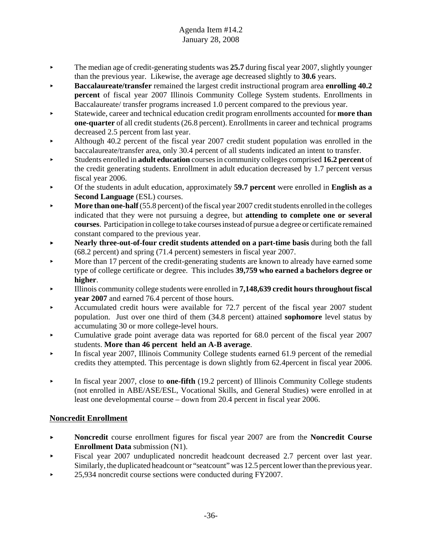- ► The median age of credit-generating students was 25.7 during fiscal year 2007, slightly younger than the previous year. Likewise, the average age decreased slightly to **30.6** years.
- < **Baccalaureate/transfer** remained the largest credit instructional program area **enrolling 40.2 percent** of fiscal year 2007 Illinois Community College System students. Enrollments in Baccalaureate/ transfer programs increased 1.0 percent compared to the previous year.
- < Statewide, career and technical education credit program enrollments accounted for **more than one-quarter** of all credit students (26.8 percent). Enrollments in career and technical programs decreased 2.5 percent from last year.
- Although 40.2 percent of the fiscal year 2007 credit student population was enrolled in the baccalaureate/transfer area, only 30.4 percent of all students indicated an intent to transfer.
- < Students enrolled in **adult education** courses in community colleges comprised **16.2 percent** of the credit generating students. Enrollment in adult education decreased by 1.7 percent versus fiscal year 2006.
- < Of the students in adult education, approximately **59.7 percent** were enrolled in **English as a Second Language** (ESL) courses.
- < **More than one-half** (55.8 percent) of the fiscal year 2007 credit students enrolled in the colleges indicated that they were not pursuing a degree, but **attending to complete one or several courses**. Participation in college to take courses instead of pursue a degree or certificate remained constant compared to the previous year.
- **Nearly three-out-of-four credit students attended on a part-time basis during both the fall** (68.2 percent) and spring (71.4 percent) semesters in fiscal year 2007.
- More than 17 percent of the credit-generating students are known to already have earned some type of college certificate or degree. This includes **39,759 who earned a bachelors degree or higher**.
- < Illinois community college students were enrolled in **7,148,639 credit hours throughout fiscal year 2007** and earned 76.4 percent of those hours.
- < Accumulated credit hours were available for 72.7 percent of the fiscal year 2007 student population. Just over one third of them (34.8 percent) attained **sophomore** level status by accumulating 30 or more college-level hours.
- $\blacktriangleright$  Cumulative grade point average data was reported for 68.0 percent of the fiscal year 2007 students. **More than 46 percent held an A-B average**.
- $\blacktriangleright$  In fiscal year 2007, Illinois Community College students earned 61.9 percent of the remedial credits they attempted. This percentage is down slightly from 62.4percent in fiscal year 2006.
- < In fiscal year 2007, close to **one-fifth** (19.2 percent) of Illinois Community College students (not enrolled in ABE/ASE/ESL, Vocational Skills, and General Studies) were enrolled in at least one developmental course – down from 20.4 percent in fiscal year 2006.

# **Noncredit Enrollment**

- < **Noncredit** course enrollment figures for fiscal year 2007 are from the **Noncredit Course Enrollment Data** submission (N1).
- Fiscal year 2007 unduplicated noncredit headcount decreased 2.7 percent over last year. Similarly, the duplicated headcount or "seatcount" was 12.5 percent lower than the previous year.
- ▶ 25,934 noncredit course sections were conducted during FY2007.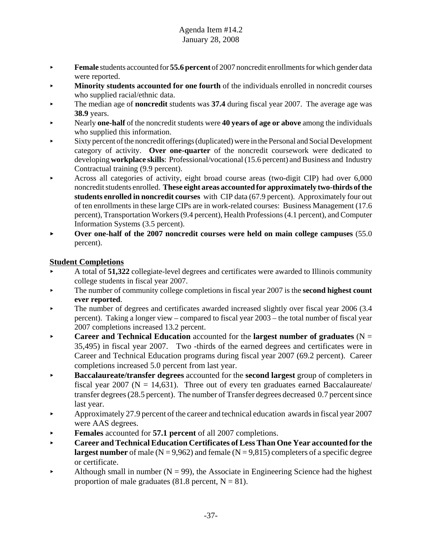- **Female** students accounted for **55.6 percent** of 2007 noncredit enrollments for which gender data were reported.
- **Minority students accounted for one fourth** of the individuals enrolled in noncredit courses who supplied racial/ethnic data.
- **The median age of noncredit** students was 37.4 during fiscal year 2007. The average age was **38.9** years.
- < Nearly **one-half** of the noncredit students were **40 years of age or above** among the individuals who supplied this information.
- < Sixty percent of the noncredit offerings (duplicated) were in the Personal and Social Development category of activity. **Over one-quarter** of the noncredit coursework were dedicated to developing **workplace skills**: Professional/vocational (15.6 percent) and Business and Industry Contractual training (9.9 percent).
- Across all categories of activity, eight broad course areas (two-digit CIP) had over 6,000 noncredit students enrolled. **These eight areas accounted for approximately two-thirds of the students enrolled in noncredit courses** with CIP data (67.9 percent). Approximately four out of ten enrollments in these large CIPs are in work-related courses: Business Management (17.6 percent), Transportation Workers (9.4 percent), Health Professions (4.1 percent), and Computer Information Systems (3.5 percent).
- **Over one-half of the 2007 noncredit courses were held on main college campuses** (55.0) percent).

# **Student Completions**

- < A total of **51,322** collegiate-level degrees and certificates were awarded to Illinois community college students in fiscal year 2007.
- $\triangleright$  The number of community college completions in fiscal year 2007 is the **second highest count ever reported**.
- The number of degrees and certificates awarded increased slightly over fiscal year 2006 (3.4) percent). Taking a longer view – compared to fiscal year 2003 – the total number of fiscal year 2007 completions increased 13.2 percent.
- **Career and Technical Education** accounted for the **largest number of graduates**  $(N =$ 35,495) in fiscal year 2007. Two -thirds of the earned degrees and certificates were in Career and Technical Education programs during fiscal year 2007 (69.2 percent). Career completions increased 5.0 percent from last year.
- < **Baccalaureate/transfer degrees** accounted for the **second largest** group of completers in fiscal year 2007 ( $N = 14,631$ ). Three out of every ten graduates earned Baccalaureate/ transfer degrees (28.5 percent). The number of Transfer degrees decreased 0.7 percent since last year.
- $\blacktriangleright$  Approximately 27.9 percent of the career and technical education awards in fiscal year 2007 were AAS degrees.
- < **Females** accounted for **57.1 percent** of all 2007 completions.
- **Career and Technical Education Certificates of Less Than One Year accounted for the largest number** of male  $(N = 9,962)$  and female  $(N = 9,815)$  completers of a specific degree or certificate.
- Although small in number  $(N = 99)$ , the Associate in Engineering Science had the highest proportion of male graduates (81.8 percent,  $N = 81$ ).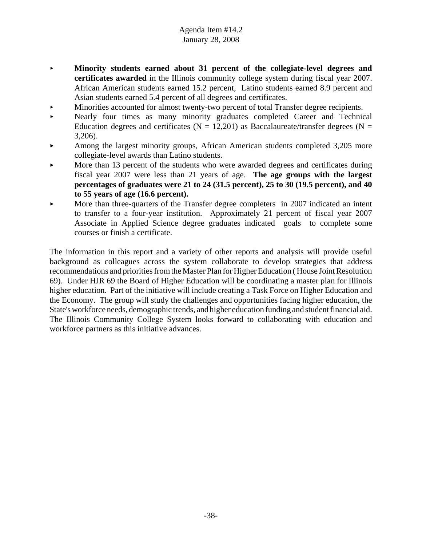- < **Minority students earned about 31 percent of the collegiate-level degrees and certificates awarded** in the Illinois community college system during fiscal year 2007. African American students earned 15.2 percent, Latino students earned 8.9 percent and Asian students earned 5.4 percent of all degrees and certificates.
- < Minorities accounted for almost twenty-two percent of total Transfer degree recipients.
- < Nearly four times as many minority graduates completed Career and Technical Education degrees and certificates ( $N = 12,201$ ) as Baccalaureate/transfer degrees ( $N =$ 3,206).
- $\blacktriangleright$  Among the largest minority groups, African American students completed 3,205 more collegiate-level awards than Latino students.
- More than 13 percent of the students who were awarded degrees and certificates during fiscal year 2007 were less than 21 years of age. **The age groups with the largest percentages of graduates were 21 to 24 (31.5 percent), 25 to 30 (19.5 percent), and 40 to 55 years of age (16.6 percent).**
- More than three-quarters of the Transfer degree completers in 2007 indicated an intent to transfer to a four-year institution. Approximately 21 percent of fiscal year 2007 Associate in Applied Science degree graduates indicated goals to complete some courses or finish a certificate.

The information in this report and a variety of other reports and analysis will provide useful background as colleagues across the system collaborate to develop strategies that address recommendations and priorities from the Master Plan for Higher Education ( House Joint Resolution 69). Under HJR 69 the Board of Higher Education will be coordinating a master plan for Illinois higher education. Part of the initiative will include creating a Task Force on Higher Education and the Economy. The group will study the challenges and opportunities facing higher education, the State's workforce needs, demographic trends, and higher education funding and student financial aid. The Illinois Community College System looks forward to collaborating with education and workforce partners as this initiative advances.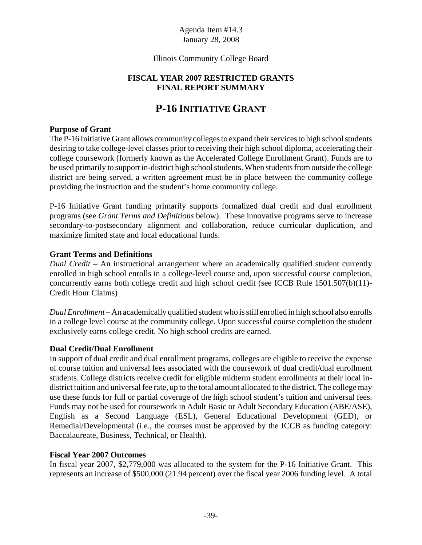# Illinois Community College Board

# **FISCAL YEAR 2007 RESTRICTED GRANTS FINAL REPORT SUMMARY**

# **P-16 INITIATIVE GRANT**

#### **Purpose of Grant**

The P-16 Initiative Grant allows community colleges to expand their services to high school students desiring to take college-level classes prior to receiving their high school diploma, accelerating their college coursework (formerly known as the Accelerated College Enrollment Grant). Funds are to be used primarily to support in-district high school students. When students from outside the college district are being served, a written agreement must be in place between the community college providing the instruction and the student's home community college.

P-16 Initiative Grant funding primarily supports formalized dual credit and dual enrollment programs (see *Grant Terms and Definitions* below). These innovative programs serve to increase secondary-to-postsecondary alignment and collaboration, reduce curricular duplication, and maximize limited state and local educational funds.

#### **Grant Terms and Definitions**

*Dual Credit* – An instructional arrangement where an academically qualified student currently enrolled in high school enrolls in a college-level course and, upon successful course completion, concurrently earns both college credit and high school credit (see ICCB Rule 1501.507(b)(11)- Credit Hour Claims)

*Dual Enrollment* – An academically qualified student who is still enrolled in high school also enrolls in a college level course at the community college. Upon successful course completion the student exclusively earns college credit. No high school credits are earned.

# **Dual Credit/Dual Enrollment**

In support of dual credit and dual enrollment programs, colleges are eligible to receive the expense of course tuition and universal fees associated with the coursework of dual credit/dual enrollment students. College districts receive credit for eligible midterm student enrollments at their local indistrict tuition and universal fee rate, up to the total amount allocated to the district. The college may use these funds for full or partial coverage of the high school student's tuition and universal fees. Funds may not be used for coursework in Adult Basic or Adult Secondary Education (ABE/ASE), English as a Second Language (ESL), General Educational Development (GED), or Remedial/Developmental (i.e., the courses must be approved by the ICCB as funding category: Baccalaureate, Business, Technical, or Health).

#### **Fiscal Year 2007 Outcomes**

In fiscal year 2007, \$2,779,000 was allocated to the system for the P-16 Initiative Grant. This represents an increase of \$500,000 (21.94 percent) over the fiscal year 2006 funding level. A total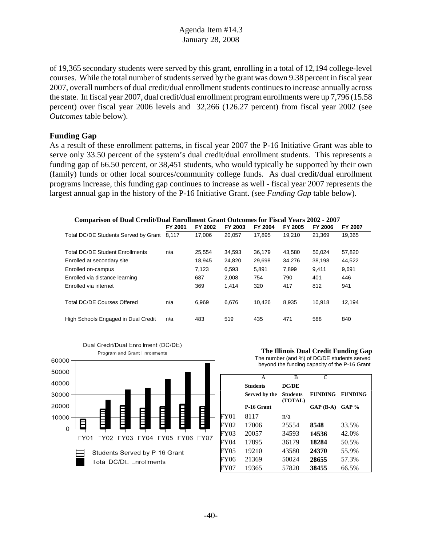of 19,365 secondary students were served by this grant, enrolling in a total of 12,194 college-level courses. While the total number of students served by the grant was down 9.38 percent in fiscal year 2007, overall numbers of dual credit/dual enrollment students continues to increase annually across the state. In fiscal year 2007, dual credit/dual enrollment program enrollments were up 7,796 (15.58 percent) over fiscal year 2006 levels and 32,266 (126.27 percent) from fiscal year 2002 (see *Outcomes* table below).

#### **Funding Gap**

As a result of these enrollment patterns, in fiscal year 2007 the P-16 Initiative Grant was able to serve only 33.50 percent of the system's dual credit/dual enrollment students. This represents a funding gap of 66.50 percent, or 38,451 students, who would typically be supported by their own (family) funds or other local sources/community college funds. As dual credit/dual enrollment programs increase, this funding gap continues to increase as well - fiscal year 2007 represents the largest annual gap in the history of the P-16 Initiative Grant. (see *Funding Gap* table below).

| <b>Comparison of Dual Credit/Dual Enrollment Grant Outcomes for Fiscal Years 2002 - 2007</b> |         |         |         |                |                |                |                |  |
|----------------------------------------------------------------------------------------------|---------|---------|---------|----------------|----------------|----------------|----------------|--|
|                                                                                              | FY 2001 | FY 2002 | FY 2003 | <b>FY 2004</b> | <b>FY 2005</b> | <b>FY 2006</b> | <b>FY 2007</b> |  |
| Total DC/DE Students Served by Grant                                                         | 8.117   | 17.006  | 20.057  | 17.895         | 19.210         | 21.369         | 19,365         |  |
| Total DC/DE Student Enrollments                                                              | n/a     | 25.554  | 34.593  | 36.179         | 43.580         | 50.024         | 57,820         |  |
| Enrolled at secondary site                                                                   |         | 18,945  | 24,820  | 29,698         | 34,276         | 38.198         | 44,522         |  |
| Enrolled on-campus                                                                           |         | 7.123   | 6,593   | 5.891          | 7.899          | 9.411          | 9,691          |  |
| Enrolled via distance learning                                                               |         | 687     | 2.008   | 754            | 790            | 401            | 446            |  |
| Enrolled via internet                                                                        |         | 369     | 1.414   | 320            | 417            | 812            | 941            |  |
| <b>Total DC/DE Courses Offered</b>                                                           | n/a     | 6.969   | 6.676   | 10.426         | 8.935          | 10.918         | 12,194         |  |
| High Schools Engaged in Dual Credit                                                          | n/a     | 483     | 519     | 435            | 471            | 588            | 840            |  |



**The Illinois Dual Credit Funding Gap** The number (and %) of DC/DE students served beyond the funding capacity of the P-16 Grant

|      | A               | B                          | $\mathsf{C}$   |                |
|------|-----------------|----------------------------|----------------|----------------|
|      | <b>Students</b> | <b>DC/DE</b>               |                |                |
|      | Served by the   | <b>Students</b><br>(TOTAL) | <b>FUNDING</b> | <b>FUNDING</b> |
|      | P-16 Grant      |                            | $GAP(B-A)$     | $GAP$ %        |
| FY01 | 8117            | n/a                        |                |                |
| FY02 | 17006           | 25554                      | 8548           | 33.5%          |
| FY03 | 20057           | 34593                      | 14536          | 42.0%          |
| FY04 | 17895           | 36179                      | 18284          | 50.5%          |
| FY05 | 19210           | 43580                      | 24370          | 55.9%          |
| FY06 | 21369           | 50024                      | 28655          | 57.3%          |
| FY07 | 19365           | 57820                      | 38455          | 66.5%          |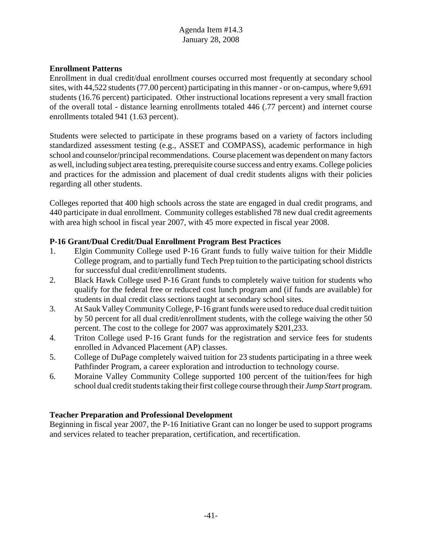### **Enrollment Patterns**

Enrollment in dual credit/dual enrollment courses occurred most frequently at secondary school sites, with 44,522 students (77.00 percent) participating in this manner - or on-campus, where 9,691 students (16.76 percent) participated. Other instructional locations represent a very small fraction of the overall total - distance learning enrollments totaled 446 (.77 percent) and internet course enrollments totaled 941 (1.63 percent).

Students were selected to participate in these programs based on a variety of factors including standardized assessment testing (e.g., ASSET and COMPASS), academic performance in high school and counselor/principal recommendations. Course placement was dependent on many factors as well, including subject area testing, prerequisite course success and entry exams. College policies and practices for the admission and placement of dual credit students aligns with their policies regarding all other students.

Colleges reported that 400 high schools across the state are engaged in dual credit programs, and 440 participate in dual enrollment. Community colleges established 78 new dual credit agreements with area high school in fiscal year 2007, with 45 more expected in fiscal year 2008.

#### **P-16 Grant/Dual Credit/Dual Enrollment Program Best Practices**

- 1. Elgin Community College used P-16 Grant funds to fully waive tuition for their Middle College program, and to partially fund Tech Prep tuition to the participating school districts for successful dual credit/enrollment students.
- 2. Black Hawk College used P-16 Grant funds to completely waive tuition for students who qualify for the federal free or reduced cost lunch program and (if funds are available) for students in dual credit class sections taught at secondary school sites.
- 3. At Sauk Valley Community College, P-16 grant funds were used to reduce dual credit tuition by 50 percent for all dual credit/enrollment students, with the college waiving the other 50 percent. The cost to the college for 2007 was approximately \$201,233.
- 4. Triton College used P-16 Grant funds for the registration and service fees for students enrolled in Advanced Placement (AP) classes.
- 5. College of DuPage completely waived tuition for 23 students participating in a three week Pathfinder Program, a career exploration and introduction to technology course.
- 6. Moraine Valley Community College supported 100 percent of the tuition/fees for high school dual credit students taking their first college course through their *Jump Start* program.

#### **Teacher Preparation and Professional Development**

Beginning in fiscal year 2007, the P-16 Initiative Grant can no longer be used to support programs and services related to teacher preparation, certification, and recertification.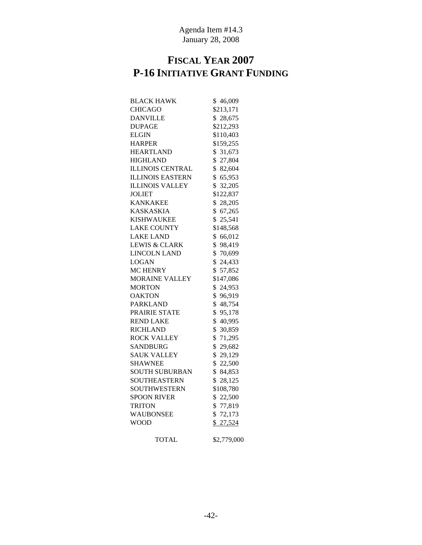# **FISCAL YEAR 2007 P-16 INITIATIVE GRANT FUNDING**

| <b>BLACK HAWK</b>       | \$46,009               |
|-------------------------|------------------------|
| <b>CHICAGO</b>          | \$213,171              |
| <b>DANVILLE</b>         | \$28,675               |
| <b>DUPAGE</b>           | \$212,293              |
| <b>ELGIN</b>            | \$110,403              |
| <b>HARPER</b>           | \$159,255              |
| <b>HEARTLAND</b>        | \$ 31,673              |
| <b>HIGHLAND</b>         | \$27,804               |
| <b>ILLINOIS CENTRAL</b> | \$82,604               |
| <b>ILLINOIS EASTERN</b> | \$65,953               |
| <b>ILLINOIS VALLEY</b>  | \$ 32,205              |
| JOLIET                  | \$122,837              |
| <b>KANKAKEE</b>         | \$28,205               |
| <b>KASKASKIA</b>        | \$67,265               |
| KISHWAUKEE              | \$<br>25,541           |
| <b>LAKE COUNTY</b>      | \$148,568              |
| <b>LAKE LAND</b>        | \$66,012               |
| LEWIS & CLARK           | \$98,419               |
| LINCOLN LAND            | \$70,699               |
| LOGAN                   | \$24,433               |
| <b>MC HENRY</b>         | \$57,852               |
| <b>MORAINE VALLEY</b>   | \$147,086              |
| <b>MORTON</b>           | \$<br>24,953           |
| <b>OAKTON</b>           | \$<br>96,919           |
| <b>PARKLAND</b>         | \$48,754               |
| PRAIRIE STATE           | \$95,178               |
| <b>REND LAKE</b>        | \$40,995               |
| <b>RICHLAND</b>         | \$ 30,859              |
| ROCK VALLEY             | \$71,295               |
| <b>SANDBURG</b>         | \$29,682               |
| <b>SAUK VALLEY</b>      | \$29,129               |
| <b>SHAWNEE</b>          | \$22,500               |
| SOUTH SUBURBAN          | \$84,853               |
| <b>SOUTHEASTERN</b>     | $\mathbb{S}$<br>28,125 |
| SOUTHWESTERN            | \$108,780              |
| <b>SPOON RIVER</b>      | \$22,500               |
| <b>TRITON</b>           | \$77,819               |
| WAUBONSEE               | \$72,173               |
| <b>WOOD</b>             | \$27,524               |
| <b>TOTAL</b>            | \$2,779,000            |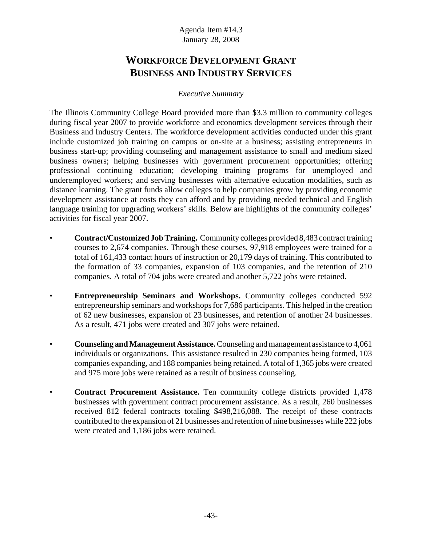# **WORKFORCE DEVELOPMENT GRANT BUSINESS AND INDUSTRY SERVICES**

# *Executive Summary*

The Illinois Community College Board provided more than \$3.3 million to community colleges during fiscal year 2007 to provide workforce and economics development services through their Business and Industry Centers. The workforce development activities conducted under this grant include customized job training on campus or on-site at a business; assisting entrepreneurs in business start-up; providing counseling and management assistance to small and medium sized business owners; helping businesses with government procurement opportunities; offering professional continuing education; developing training programs for unemployed and underemployed workers; and serving businesses with alternative education modalities, such as distance learning. The grant funds allow colleges to help companies grow by providing economic development assistance at costs they can afford and by providing needed technical and English language training for upgrading workers' skills. Below are highlights of the community colleges' activities for fiscal year 2007.

- **Contract/Customized Job Training.** Community colleges provided 8,483 contract training courses to 2,674 companies. Through these courses, 97,918 employees were trained for a total of 161,433 contact hours of instruction or 20,179 days of training. This contributed to the formation of 33 companies, expansion of 103 companies, and the retention of 210 companies. A total of 704 jobs were created and another 5,722 jobs were retained.
- **Entrepreneurship Seminars and Workshops.** Community colleges conducted 592 entrepreneurship seminars and workshops for 7,686 participants. This helped in the creation of 62 new businesses, expansion of 23 businesses, and retention of another 24 businesses. As a result, 471 jobs were created and 307 jobs were retained.
- **Counseling and Management Assistance.** Counseling and management assistance to 4,061 individuals or organizations. This assistance resulted in 230 companies being formed, 103 companies expanding, and 188 companies being retained. A total of 1,365 jobs were created and 975 more jobs were retained as a result of business counseling.
- **Contract Procurement Assistance.** Ten community college districts provided 1,478 businesses with government contract procurement assistance. As a result, 260 businesses received 812 federal contracts totaling \$498,216,088. The receipt of these contracts contributed to the expansion of 21 businesses and retention of nine businesses while 222 jobs were created and 1,186 jobs were retained.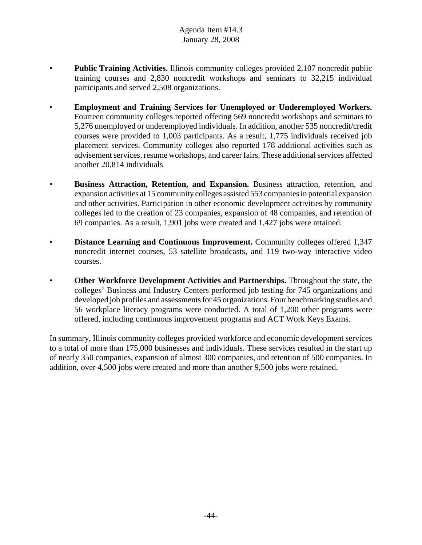- **Public Training Activities.** Illinois community colleges provided 2,107 noncredit public training courses and 2,830 noncredit workshops and seminars to 32,215 individual participants and served 2,508 organizations.
- **Employment and Training Services for Unemployed or Underemployed Workers.** Fourteen community colleges reported offering 569 noncredit workshops and seminars to 5,276 unemployed or underemployed individuals. In addition, another 535 noncredit/credit courses were provided to 1,003 participants. As a result, 1,775 individuals received job placement services. Community colleges also reported 178 additional activities such as advisement services, resume workshops, and career fairs. These additional services affected another 20,814 individuals
- **Business Attraction, Retention, and Expansion.** Business attraction, retention, and expansion activities at 15 community colleges assisted 553 companies in potential expansion and other activities. Participation in other economic development activities by community colleges led to the creation of 23 companies, expansion of 48 companies, and retention of 69 companies. As a result, 1,901 jobs were created and 1,427 jobs were retained.
- **Distance Learning and Continuous Improvement.** Community colleges offered 1,347 noncredit internet courses, 53 satellite broadcasts, and 119 two-way interactive video courses.
- **Other Workforce Development Activities and Partnerships.** Throughout the state, the colleges' Business and Industry Centers performed job testing for 745 organizations and developed job profiles and assessments for 45 organizations. Four benchmarking studies and 56 workplace literacy programs were conducted. A total of 1,200 other programs were offered, including continuous improvement programs and ACT Work Keys Exams.

In summary, Illinois community colleges provided workforce and economic development services to a total of more than 175,000 businesses and individuals. These services resulted in the start up of nearly 350 companies, expansion of almost 300 companies, and retention of 500 companies. In addition, over 4,500 jobs were created and more than another 9,500 jobs were retained.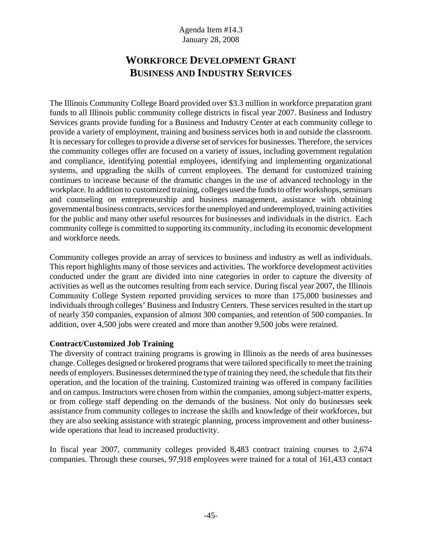# **WORKFORCE DEVELOPMENT GRANT BUSINESS AND INDUSTRY SERVICES**

The Illinois Community College Board provided over \$3.3 million in workforce preparation grant funds to all Illinois public community college districts in fiscal year 2007. Business and Industry Services grants provide funding for a Business and Industry Center at each community college to provide a variety of employment, training and business services both in and outside the classroom. It is necessary for colleges to provide a diverse set of services for businesses. Therefore, the services the community colleges offer are focused on a variety of issues, including government regulation and compliance, identifying potential employees, identifying and implementing organizational systems, and upgrading the skills of current employees. The demand for customized training continues to increase because of the dramatic changes in the use of advanced technology in the workplace. In addition to customized training, colleges used the funds to offer workshops, seminars and counseling on entrepreneurship and business management, assistance with obtaining governmental business contracts, services for the unemployed and underemployed, training activities for the public and many other useful resources for businesses and individuals in the district. Each community college is committed to supporting its community, including its economic development and workforce needs.

Community colleges provide an array of services to business and industry as well as individuals. This report highlights many of those services and activities. The workforce development activities conducted under the grant are divided into nine categories in order to capture the diversity of activities as well as the outcomes resulting from each service. During fiscal year 2007, the Illinois Community College System reported providing services to more than 175,000 businesses and individuals through colleges' Business and Industry Centers. These services resulted in the start up of nearly 350 companies, expansion of almost 300 companies, and retention of 500 companies. In addition, over 4,500 jobs were created and more than another 9,500 jobs were retained.

# **Contract/Customized Job Training**

The diversity of contract training programs is growing in Illinois as the needs of area businesses change. Colleges designed or brokered programs that were tailored specifically to meet the training needs of employers. Businesses determined the type of training they need, the schedule that fits their operation, and the location of the training. Customized training was offered in company facilities and on campus. Instructors were chosen from within the companies, among subject-matter experts, or from college staff depending on the demands of the business. Not only do businesses seek assistance from community colleges to increase the skills and knowledge of their workforces, but they are also seeking assistance with strategic planning, process improvement and other businesswide operations that lead to increased productivity.

In fiscal year 2007, community colleges provided 8,483 contract training courses to 2,674 companies. Through these courses, 97,918 employees were trained for a total of 161,433 contact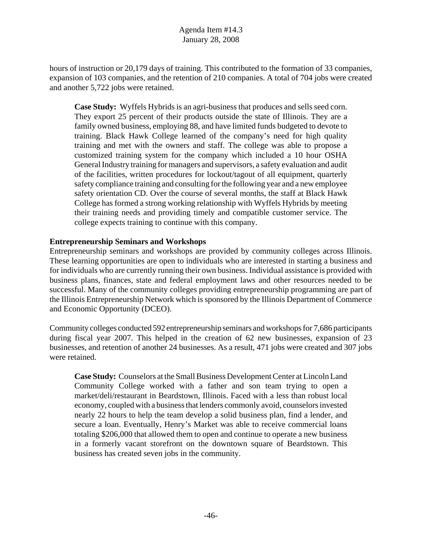hours of instruction or 20,179 days of training. This contributed to the formation of 33 companies, expansion of 103 companies, and the retention of 210 companies. A total of 704 jobs were created and another 5,722 jobs were retained.

**Case Study:** Wyffels Hybrids is an agri-business that produces and sells seed corn. They export 25 percent of their products outside the state of Illinois. They are a family owned business, employing 88, and have limited funds budgeted to devote to training. Black Hawk College learned of the company's need for high quality training and met with the owners and staff. The college was able to propose a customized training system for the company which included a 10 hour OSHA General Industry training for managers and supervisors, a safety evaluation and audit of the facilities, written procedures for lockout/tagout of all equipment, quarterly safety compliance training and consulting for the following year and a new employee safety orientation CD. Over the course of several months, the staff at Black Hawk College has formed a strong working relationship with Wyffels Hybrids by meeting their training needs and providing timely and compatible customer service. The college expects training to continue with this company.

#### **Entrepreneurship Seminars and Workshops**

Entrepreneurship seminars and workshops are provided by community colleges across Illinois. These learning opportunities are open to individuals who are interested in starting a business and for individuals who are currently running their own business. Individual assistance is provided with business plans, finances, state and federal employment laws and other resources needed to be successful. Many of the community colleges providing entrepreneurship programming are part of the Illinois Entrepreneurship Network which is sponsored by the Illinois Department of Commerce and Economic Opportunity (DCEO).

Community colleges conducted 592 entrepreneurship seminars and workshops for 7,686 participants during fiscal year 2007. This helped in the creation of 62 new businesses, expansion of 23 businesses, and retention of another 24 businesses. As a result, 471 jobs were created and 307 jobs were retained.

**Case Study:** Counselors at the Small Business Development Center at Lincoln Land Community College worked with a father and son team trying to open a market/deli/restaurant in Beardstown, Illinois. Faced with a less than robust local economy, coupled with a business that lenders commonly avoid, counselors invested nearly 22 hours to help the team develop a solid business plan, find a lender, and secure a loan. Eventually, Henry's Market was able to receive commercial loans totaling \$206,000 that allowed them to open and continue to operate a new business in a formerly vacant storefront on the downtown square of Beardstown. This business has created seven jobs in the community.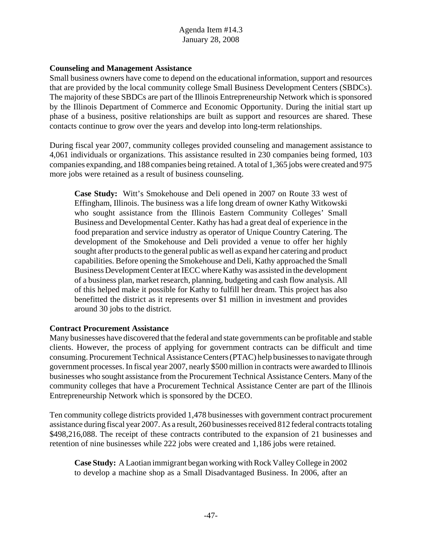#### **Counseling and Management Assistance**

Small business owners have come to depend on the educational information, support and resources that are provided by the local community college Small Business Development Centers (SBDCs). The majority of these SBDCs are part of the Illinois Entrepreneurship Network which is sponsored by the Illinois Department of Commerce and Economic Opportunity. During the initial start up phase of a business, positive relationships are built as support and resources are shared. These contacts continue to grow over the years and develop into long-term relationships.

During fiscal year 2007, community colleges provided counseling and management assistance to 4,061 individuals or organizations. This assistance resulted in 230 companies being formed, 103 companies expanding, and 188 companies being retained. A total of 1,365 jobs were created and 975 more jobs were retained as a result of business counseling.

**Case Study:** Witt's Smokehouse and Deli opened in 2007 on Route 33 west of Effingham, Illinois. The business was a life long dream of owner Kathy Witkowski who sought assistance from the Illinois Eastern Community Colleges' Small Business and Developmental Center. Kathy has had a great deal of experience in the food preparation and service industry as operator of Unique Country Catering. The development of the Smokehouse and Deli provided a venue to offer her highly sought after products to the general public as well as expand her catering and product capabilities. Before opening the Smokehouse and Deli, Kathy approached the Small Business Development Center at IECC where Kathy was assisted in the development of a business plan, market research, planning, budgeting and cash flow analysis. All of this helped make it possible for Kathy to fulfill her dream. This project has also benefitted the district as it represents over \$1 million in investment and provides around 30 jobs to the district.

#### **Contract Procurement Assistance**

Many businesses have discovered that the federal and state governments can be profitable and stable clients. However, the process of applying for government contracts can be difficult and time consuming. Procurement Technical Assistance Centers (PTAC) help businesses to navigate through government processes. In fiscal year 2007, nearly \$500 million in contracts were awarded to Illinois businesses who sought assistance from the Procurement Technical Assistance Centers. Many of the community colleges that have a Procurement Technical Assistance Center are part of the Illinois Entrepreneurship Network which is sponsored by the DCEO.

Ten community college districts provided 1,478 businesses with government contract procurement assistance during fiscal year 2007. As a result, 260 businesses received 812 federal contracts totaling \$498,216,088. The receipt of these contracts contributed to the expansion of 21 businesses and retention of nine businesses while 222 jobs were created and 1,186 jobs were retained.

**Case Study:** A Laotian immigrant began working with Rock Valley College in 2002 to develop a machine shop as a Small Disadvantaged Business. In 2006, after an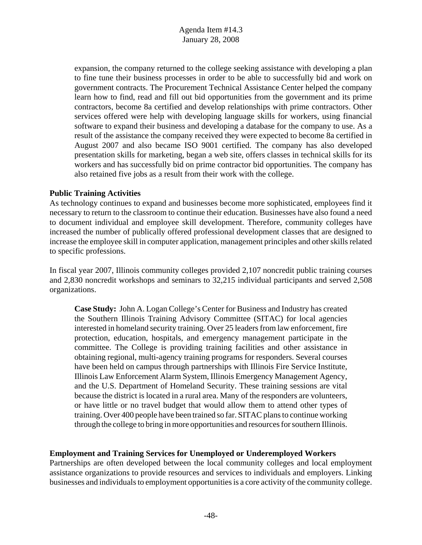expansion, the company returned to the college seeking assistance with developing a plan to fine tune their business processes in order to be able to successfully bid and work on government contracts. The Procurement Technical Assistance Center helped the company learn how to find, read and fill out bid opportunities from the government and its prime contractors, become 8a certified and develop relationships with prime contractors. Other services offered were help with developing language skills for workers, using financial software to expand their business and developing a database for the company to use. As a result of the assistance the company received they were expected to become 8a certified in August 2007 and also became ISO 9001 certified. The company has also developed presentation skills for marketing, began a web site, offers classes in technical skills for its workers and has successfully bid on prime contractor bid opportunities. The company has also retained five jobs as a result from their work with the college.

#### **Public Training Activities**

As technology continues to expand and businesses become more sophisticated, employees find it necessary to return to the classroom to continue their education. Businesses have also found a need to document individual and employee skill development. Therefore, community colleges have increased the number of publically offered professional development classes that are designed to increase the employee skill in computer application, management principles and other skills related to specific professions.

In fiscal year 2007, Illinois community colleges provided 2,107 noncredit public training courses and 2,830 noncredit workshops and seminars to 32,215 individual participants and served 2,508 organizations.

**Case Study:** John A. Logan College's Center for Business and Industry has created the Southern Illinois Training Advisory Committee (SITAC) for local agencies interested in homeland security training. Over 25 leaders from law enforcement, fire protection, education, hospitals, and emergency management participate in the committee. The College is providing training facilities and other assistance in obtaining regional, multi-agency training programs for responders. Several courses have been held on campus through partnerships with Illinois Fire Service Institute, Illinois Law Enforcement Alarm System, Illinois Emergency Management Agency, and the U.S. Department of Homeland Security. These training sessions are vital because the district is located in a rural area. Many of the responders are volunteers, or have little or no travel budget that would allow them to attend other types of training. Over 400 people have been trained so far. SITAC plans to continue working through the college to bring in more opportunities and resources for southern Illinois.

# **Employment and Training Services for Unemployed or Underemployed Workers**

Partnerships are often developed between the local community colleges and local employment assistance organizations to provide resources and services to individuals and employers. Linking businesses and individuals to employment opportunities is a core activity of the community college.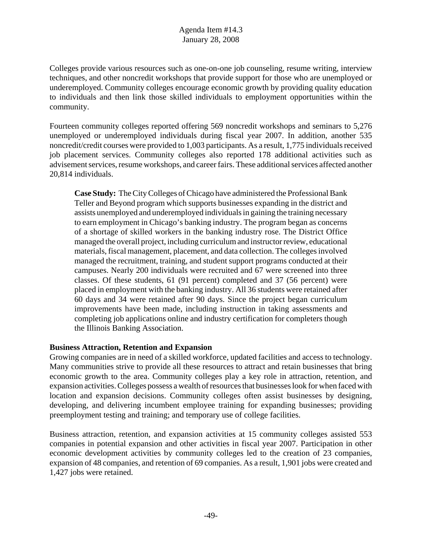Colleges provide various resources such as one-on-one job counseling, resume writing, interview techniques, and other noncredit workshops that provide support for those who are unemployed or underemployed. Community colleges encourage economic growth by providing quality education to individuals and then link those skilled individuals to employment opportunities within the community.

Fourteen community colleges reported offering 569 noncredit workshops and seminars to 5,276 unemployed or underemployed individuals during fiscal year 2007. In addition, another 535 noncredit/credit courses were provided to 1,003 participants. As a result, 1,775 individuals received job placement services. Community colleges also reported 178 additional activities such as advisement services, resume workshops, and career fairs. These additional services affected another 20,814 individuals.

**Case Study:** The City Colleges of Chicago have administered the Professional Bank Teller and Beyond program which supports businesses expanding in the district and assists unemployed and underemployed individuals in gaining the training necessary to earn employment in Chicago's banking industry. The program began as concerns of a shortage of skilled workers in the banking industry rose. The District Office managed the overall project, including curriculum and instructor review, educational materials, fiscal management, placement, and data collection. The colleges involved managed the recruitment, training, and student support programs conducted at their campuses. Nearly 200 individuals were recruited and 67 were screened into three classes. Of these students, 61 (91 percent) completed and 37 (56 percent) were placed in employment with the banking industry. All 36 students were retained after 60 days and 34 were retained after 90 days. Since the project began curriculum improvements have been made, including instruction in taking assessments and completing job applications online and industry certification for completers though the Illinois Banking Association.

# **Business Attraction, Retention and Expansion**

Growing companies are in need of a skilled workforce, updated facilities and access to technology. Many communities strive to provide all these resources to attract and retain businesses that bring economic growth to the area. Community colleges play a key role in attraction, retention, and expansion activities. Colleges possess a wealth of resources that businesses look for when faced with location and expansion decisions. Community colleges often assist businesses by designing, developing, and delivering incumbent employee training for expanding businesses; providing preemployment testing and training; and temporary use of college facilities.

Business attraction, retention, and expansion activities at 15 community colleges assisted 553 companies in potential expansion and other activities in fiscal year 2007. Participation in other economic development activities by community colleges led to the creation of 23 companies, expansion of 48 companies, and retention of 69 companies. As a result, 1,901 jobs were created and 1,427 jobs were retained.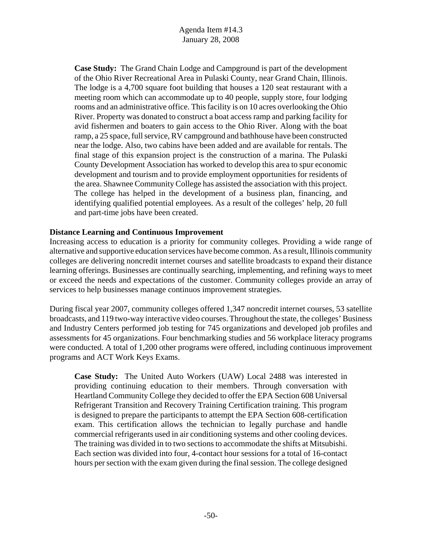**Case Study:** The Grand Chain Lodge and Campground is part of the development of the Ohio River Recreational Area in Pulaski County, near Grand Chain, Illinois. The lodge is a 4,700 square foot building that houses a 120 seat restaurant with a meeting room which can accommodate up to 40 people, supply store, four lodging rooms and an administrative office. This facility is on 10 acres overlooking the Ohio River. Property was donated to construct a boat access ramp and parking facility for avid fishermen and boaters to gain access to the Ohio River. Along with the boat ramp, a 25 space, full service, RV campground and bathhouse have been constructed near the lodge. Also, two cabins have been added and are available for rentals. The final stage of this expansion project is the construction of a marina. The Pulaski County Development Association has worked to develop this area to spur economic development and tourism and to provide employment opportunities for residents of the area. Shawnee Community College has assisted the association with this project. The college has helped in the development of a business plan, financing, and identifying qualified potential employees. As a result of the colleges' help, 20 full and part-time jobs have been created.

# **Distance Learning and Continuous Improvement**

Increasing access to education is a priority for community colleges. Providing a wide range of alternative and supportive education services have become common. As a result, Illinois community colleges are delivering noncredit internet courses and satellite broadcasts to expand their distance learning offerings. Businesses are continually searching, implementing, and refining ways to meet or exceed the needs and expectations of the customer. Community colleges provide an array of services to help businesses manage continuos improvement strategies.

During fiscal year 2007, community colleges offered 1,347 noncredit internet courses, 53 satellite broadcasts, and 119 two-way interactive video courses. Throughout the state, the colleges' Business and Industry Centers performed job testing for 745 organizations and developed job profiles and assessments for 45 organizations. Four benchmarking studies and 56 workplace literacy programs were conducted. A total of 1,200 other programs were offered, including continuous improvement programs and ACT Work Keys Exams.

**Case Study:** The United Auto Workers (UAW) Local 2488 was interested in providing continuing education to their members. Through conversation with Heartland Community College they decided to offer the EPA Section 608 Universal Refrigerant Transition and Recovery Training Certification training. This program is designed to prepare the participants to attempt the EPA Section 608-certification exam. This certification allows the technician to legally purchase and handle commercial refrigerants used in air conditioning systems and other cooling devices. The training was divided in to two sections to accommodate the shifts at Mitsubishi. Each section was divided into four, 4-contact hour sessions for a total of 16-contact hours per section with the exam given during the final session. The college designed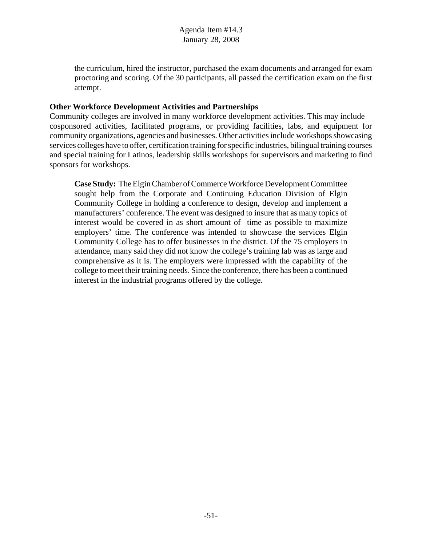the curriculum, hired the instructor, purchased the exam documents and arranged for exam proctoring and scoring. Of the 30 participants, all passed the certification exam on the first attempt.

# **Other Workforce Development Activities and Partnerships**

Community colleges are involved in many workforce development activities. This may include cosponsored activities, facilitated programs, or providing facilities, labs, and equipment for community organizations, agencies and businesses. Other activities include workshops showcasing services colleges have to offer, certification training for specific industries, bilingual training courses and special training for Latinos, leadership skills workshops for supervisors and marketing to find sponsors for workshops.

**Case Study:** The Elgin Chamber of Commerce Workforce Development Committee sought help from the Corporate and Continuing Education Division of Elgin Community College in holding a conference to design, develop and implement a manufacturers' conference. The event was designed to insure that as many topics of interest would be covered in as short amount of time as possible to maximize employers' time. The conference was intended to showcase the services Elgin Community College has to offer businesses in the district. Of the 75 employers in attendance, many said they did not know the college's training lab was as large and comprehensive as it is. The employers were impressed with the capability of the college to meet their training needs. Since the conference, there has been a continued interest in the industrial programs offered by the college.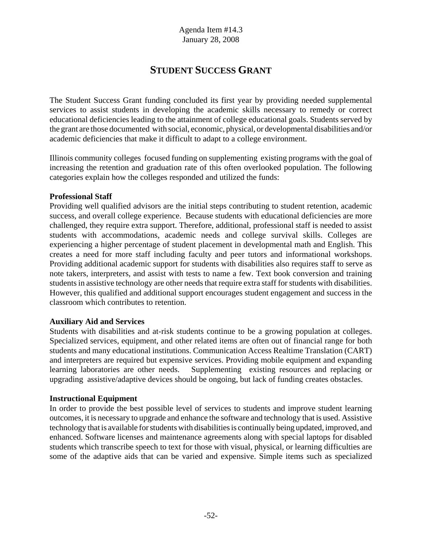# **STUDENT SUCCESS GRANT**

The Student Success Grant funding concluded its first year by providing needed supplemental services to assist students in developing the academic skills necessary to remedy or correct educational deficiencies leading to the attainment of college educational goals. Students served by the grant are those documented with social, economic, physical, or developmental disabilities and/or academic deficiencies that make it difficult to adapt to a college environment.

Illinois community colleges focused funding on supplementing existing programs with the goal of increasing the retention and graduation rate of this often overlooked population. The following categories explain how the colleges responded and utilized the funds:

#### **Professional Staff**

Providing well qualified advisors are the initial steps contributing to student retention, academic success, and overall college experience. Because students with educational deficiencies are more challenged, they require extra support. Therefore, additional, professional staff is needed to assist students with accommodations, academic needs and college survival skills. Colleges are experiencing a higher percentage of student placement in developmental math and English. This creates a need for more staff including faculty and peer tutors and informational workshops. Providing additional academic support for students with disabilities also requires staff to serve as note takers, interpreters, and assist with tests to name a few. Text book conversion and training students in assistive technology are other needs that require extra staff for students with disabilities. However, this qualified and additional support encourages student engagement and success in the classroom which contributes to retention.

# **Auxiliary Aid and Services**

Students with disabilities and at-risk students continue to be a growing population at colleges. Specialized services, equipment, and other related items are often out of financial range for both students and many educational institutions. Communication Access Realtime Translation (CART) and interpreters are required but expensive services. Providing mobile equipment and expanding learning laboratories are other needs. Supplementing existing resources and replacing or upgrading assistive/adaptive devices should be ongoing, but lack of funding creates obstacles.

# **Instructional Equipment**

In order to provide the best possible level of services to students and improve student learning outcomes, it is necessary to upgrade and enhance the software and technology that is used. Assistive technology that is available for students with disabilities is continually being updated, improved, and enhanced. Software licenses and maintenance agreements along with special laptops for disabled students which transcribe speech to text for those with visual, physical, or learning difficulties are some of the adaptive aids that can be varied and expensive. Simple items such as specialized